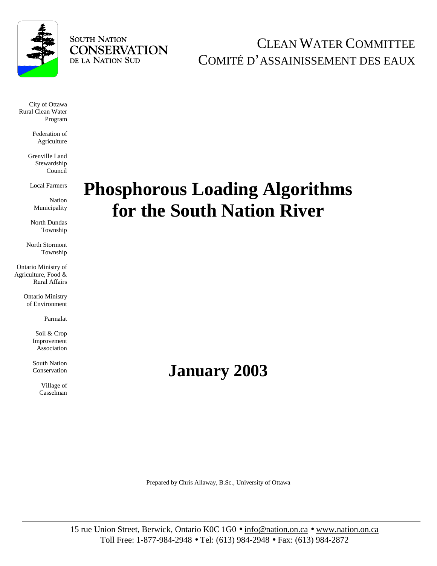

## **SOUTH NATION CONSERVATION** DE LA NATION SUD

CLEAN WATER COMMITTEE COMITÉ D'ASSAINISSEMENT DES EAUX

City of Ottawa Rural Clean Water Program

> Federation of Agriculture

Grenville Land Stewardship Council

Local Farmers

Nation Municipality

North Dundas Township

North Stormont Township

 Ontario Ministry of Agriculture, Food & Rural Affairs

> Ontario Ministry of Environment

> > Parmalat

Soil & Crop Improvement Association

South Nation Conservation

> Village of Casselman

# **Phosphorous Loading Algorithms for the South Nation River**

## **January 2003**

Prepared by Chris Allaway, B.Sc., University of Ottawa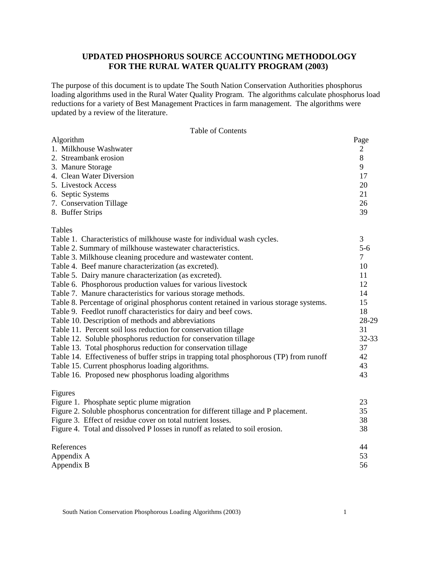## **UPDATED PHOSPHORUS SOURCE ACCOUNTING METHODOLOGY FOR THE RURAL WATER QUALITY PROGRAM (2003)**

The purpose of this document is to update The South Nation Conservation Authorities phosphorus loading algorithms used in the Rural Water Quality Program. The algorithms calculate phosphorus load reductions for a variety of Best Management Practices in farm management. The algorithms were updated by a review of the literature.

|  |  | Table of Contents |
|--|--|-------------------|
|--|--|-------------------|

| Algorithm                                                                               | Page           |
|-----------------------------------------------------------------------------------------|----------------|
| 1. Milkhouse Washwater                                                                  | $\overline{2}$ |
| 2. Streambank erosion                                                                   | 8              |
| 3. Manure Storage                                                                       | 9              |
| 4. Clean Water Diversion                                                                | 17             |
| 5. Livestock Access                                                                     | 20             |
| 6. Septic Systems                                                                       | 21             |
| 7. Conservation Tillage                                                                 | 26             |
| 8. Buffer Strips                                                                        | 39             |
| Tables                                                                                  |                |
| Table 1. Characteristics of milkhouse waste for individual wash cycles.                 | 3              |
| Table 2. Summary of milkhouse wastewater characteristics.                               | $5-6$          |
| Table 3. Milkhouse cleaning procedure and wastewater content.                           | $\tau$         |
| Table 4. Beef manure characterization (as excreted).                                    | 10             |
| Table 5. Dairy manure characterization (as excreted).                                   | 11             |
| Table 6. Phosphorous production values for various livestock                            | 12             |
| Table 7. Manure characteristics for various storage methods.                            | 14             |
| Table 8. Percentage of original phosphorus content retained in various storage systems. | 15             |
| Table 9. Feedlot runoff characteristics for dairy and beef cows.                        | 18             |
| Table 10. Description of methods and abbreviations                                      | 28-29          |
| Table 11. Percent soil loss reduction for conservation tillage                          | 31             |
| Table 12. Soluble phosphorus reduction for conservation tillage                         | 32-33          |
| Table 13. Total phosphorus reduction for conservation tillage                           | 37             |
| Table 14. Effectiveness of buffer strips in trapping total phosphorous (TP) from runoff | 42             |
| Table 15. Current phosphorus loading algorithms.                                        | 43             |
| Table 16. Proposed new phosphorus loading algorithms                                    | 43             |
| Figures                                                                                 |                |
| Figure 1. Phosphate septic plume migration                                              | 23             |
| Figure 2. Soluble phosphorus concentration for different tillage and P placement.       | 35             |
| Figure 3. Effect of residue cover on total nutrient losses.                             | 38             |
| Figure 4. Total and dissolved P losses in runoff as related to soil erosion.            | 38             |
| References                                                                              | 44             |
| Appendix A                                                                              | 53             |
| Appendix B                                                                              | 56             |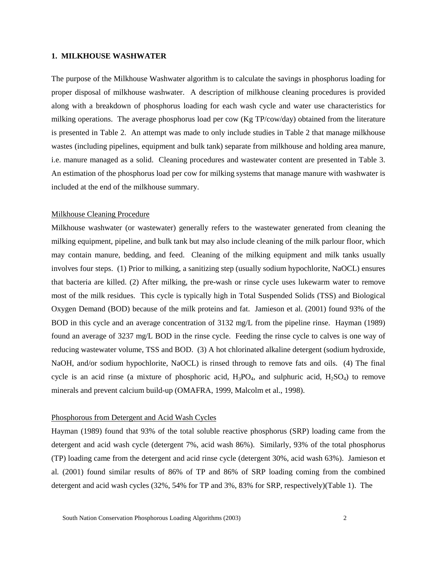## **1. MILKHOUSE WASHWATER**

The purpose of the Milkhouse Washwater algorithm is to calculate the savings in phosphorus loading for proper disposal of milkhouse washwater. A description of milkhouse cleaning procedures is provided along with a breakdown of phosphorus loading for each wash cycle and water use characteristics for milking operations. The average phosphorus load per cow (Kg TP/cow/day) obtained from the literature is presented in Table 2. An attempt was made to only include studies in Table 2 that manage milkhouse wastes (including pipelines, equipment and bulk tank) separate from milkhouse and holding area manure, i.e. manure managed as a solid. Cleaning procedures and wastewater content are presented in Table 3. An estimation of the phosphorus load per cow for milking systems that manage manure with washwater is included at the end of the milkhouse summary.

## Milkhouse Cleaning Procedure

Milkhouse washwater (or wastewater) generally refers to the wastewater generated from cleaning the milking equipment, pipeline, and bulk tank but may also include cleaning of the milk parlour floor, which may contain manure, bedding, and feed. Cleaning of the milking equipment and milk tanks usually involves four steps. (1) Prior to milking, a sanitizing step (usually sodium hypochlorite, NaOCL) ensures that bacteria are killed. (2) After milking, the pre-wash or rinse cycle uses lukewarm water to remove most of the milk residues. This cycle is typically high in Total Suspended Solids (TSS) and Biological Oxygen Demand (BOD) because of the milk proteins and fat. Jamieson et al. (2001) found 93% of the BOD in this cycle and an average concentration of 3132 mg/L from the pipeline rinse. Hayman (1989) found an average of 3237 mg/L BOD in the rinse cycle. Feeding the rinse cycle to calves is one way of reducing wastewater volume, TSS and BOD. (3) A hot chlorinated alkaline detergent (sodium hydroxide, NaOH, and/or sodium hypochlorite, NaOCL) is rinsed through to remove fats and oils. (4) The final cycle is an acid rinse (a mixture of phosphoric acid,  $H_3PO_4$ , and sulphuric acid,  $H_2SO_4$ ) to remove minerals and prevent calcium build-up (OMAFRA, 1999, Malcolm et al., 1998).

#### Phosphorous from Detergent and Acid Wash Cycles

Hayman (1989) found that 93% of the total soluble reactive phosphorus (SRP) loading came from the detergent and acid wash cycle (detergent 7%, acid wash 86%). Similarly, 93% of the total phosphorus (TP) loading came from the detergent and acid rinse cycle (detergent 30%, acid wash 63%). Jamieson et al*.* (2001) found similar results of 86% of TP and 86% of SRP loading coming from the combined detergent and acid wash cycles (32%, 54% for TP and 3%, 83% for SRP, respectively)(Table 1). The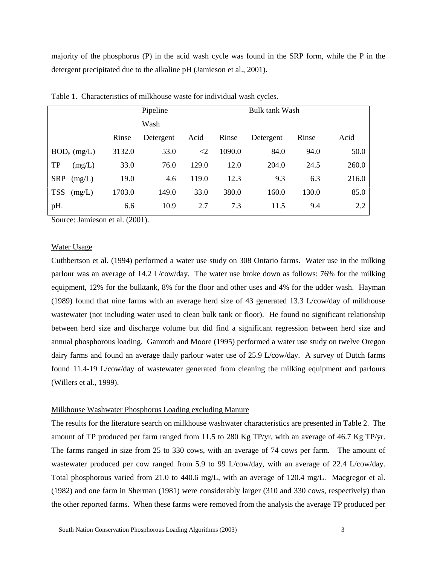majority of the phosphorus (P) in the acid wash cycle was found in the SRP form, while the P in the detergent precipitated due to the alkaline pH (Jamieson et al., 2001).

|                      |        | Pipeline  |          |                       |           |       |       |  |  |
|----------------------|--------|-----------|----------|-----------------------|-----------|-------|-------|--|--|
|                      |        |           |          | <b>Bulk tank Wash</b> |           |       |       |  |  |
|                      |        | Wash      |          |                       |           |       |       |  |  |
|                      | Rinse  | Detergent | Acid     | Rinse                 | Detergent | Rinse | Acid  |  |  |
| $BOD_5$ (mg/L)       | 3132.0 | 53.0      | $\leq$ 2 | 1090.0                | 84.0      | 94.0  | 50.0  |  |  |
| TP<br>(mg/L)         | 33.0   | 76.0      | 129.0    | 12.0                  | 204.0     | 24.5  | 260.0 |  |  |
| <b>SRP</b><br>(mg/L) | 19.0   | 4.6       | 119.0    | 12.3                  | 9.3       | 6.3   | 216.0 |  |  |
| <b>TSS</b><br>(mg/L) | 1703.0 | 149.0     | 33.0     | 380.0                 | 160.0     | 130.0 | 85.0  |  |  |
| pH.                  | 6.6    | 10.9      | 2.7      | 7.3                   | 11.5      | 9.4   | 2.2   |  |  |

Table 1. Characteristics of milkhouse waste for individual wash cycles.

Source: Jamieson et al. (2001).

## Water Usage

Cuthbertson et al. (1994) performed a water use study on 308 Ontario farms. Water use in the milking parlour was an average of 14.2 L/cow/day. The water use broke down as follows: 76% for the milking equipment, 12% for the bulktank, 8% for the floor and other uses and 4% for the udder wash. Hayman (1989) found that nine farms with an average herd size of 43 generated 13.3 L/cow/day of milkhouse wastewater (not including water used to clean bulk tank or floor). He found no significant relationship between herd size and discharge volume but did find a significant regression between herd size and annual phosphorous loading. Gamroth and Moore (1995) performed a water use study on twelve Oregon dairy farms and found an average daily parlour water use of 25.9 L/cow/day. A survey of Dutch farms found 11.4-19 L/cow/day of wastewater generated from cleaning the milking equipment and parlours (Willers et al., 1999).

## Milkhouse Washwater Phosphorus Loading excluding Manure

The results for the literature search on milkhouse washwater characteristics are presented in Table 2. The amount of TP produced per farm ranged from 11.5 to 280 Kg TP/yr, with an average of 46.7 Kg TP/yr. The farms ranged in size from 25 to 330 cows, with an average of 74 cows per farm. The amount of wastewater produced per cow ranged from 5.9 to 99 L/cow/day, with an average of 22.4 L/cow/day. Total phosphorous varied from 21.0 to 440.6 mg/L, with an average of 120.4 mg/L. Macgregor et al. (1982) and one farm in Sherman (1981) were considerably larger (310 and 330 cows, respectively) than the other reported farms. When these farms were removed from the analysis the average TP produced per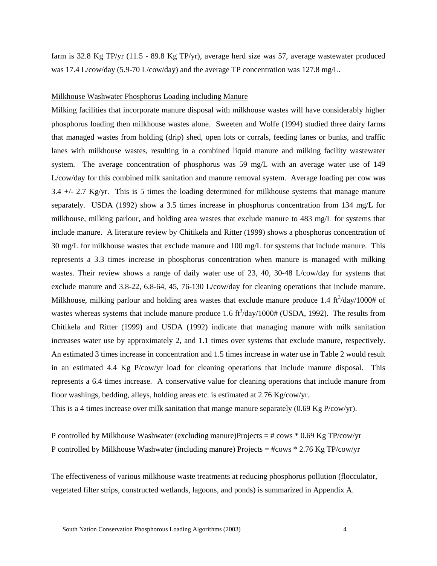farm is 32.8 Kg TP/yr (11.5 - 89.8 Kg TP/yr), average herd size was 57, average wastewater produced was 17.4 L/cow/day (5.9-70 L/cow/day) and the average TP concentration was 127.8 mg/L.

## Milkhouse Washwater Phosphorus Loading including Manure

Milking facilities that incorporate manure disposal with milkhouse wastes will have considerably higher phosphorus loading then milkhouse wastes alone. Sweeten and Wolfe (1994) studied three dairy farms that managed wastes from holding (drip) shed, open lots or corrals, feeding lanes or bunks, and traffic lanes with milkhouse wastes, resulting in a combined liquid manure and milking facility wastewater system. The average concentration of phosphorus was 59 mg/L with an average water use of 149 L/cow/day for this combined milk sanitation and manure removal system. Average loading per cow was 3.4  $+/-$  2.7 Kg/yr. This is 5 times the loading determined for milkhouse systems that manage manure separately. USDA (1992) show a 3.5 times increase in phosphorus concentration from 134 mg/L for milkhouse, milking parlour, and holding area wastes that exclude manure to 483 mg/L for systems that include manure. A literature review by Chitikela and Ritter (1999) shows a phosphorus concentration of 30 mg/L for milkhouse wastes that exclude manure and 100 mg/L for systems that include manure. This represents a 3.3 times increase in phosphorus concentration when manure is managed with milking wastes. Their review shows a range of daily water use of 23, 40, 30-48 L/cow/day for systems that exclude manure and 3.8-22, 6.8-64, 45, 76-130 L/cow/day for cleaning operations that include manure. Milkhouse, milking parlour and holding area wastes that exclude manure produce 1.4  $\text{ft}^3/\text{day}/1000\text{\# of}$ wastes whereas systems that include manure produce 1.6  $\text{ft}^3/\text{day}/1000\text{# (USDA, 1992)}$ . The results from Chitikela and Ritter (1999) and USDA (1992) indicate that managing manure with milk sanitation increases water use by approximately 2, and 1.1 times over systems that exclude manure, respectively. An estimated 3 times increase in concentration and 1.5 times increase in water use in Table 2 would result in an estimated 4.4 Kg P/cow/yr load for cleaning operations that include manure disposal. This represents a 6.4 times increase. A conservative value for cleaning operations that include manure from floor washings, bedding, alleys, holding areas etc. is estimated at 2.76 Kg/cow/yr.

This is a 4 times increase over milk sanitation that mange manure separately (0.69 Kg P/cow/yr).

P controlled by Milkhouse Washwater (excluding manure)Projects = # cows \* 0.69 Kg TP/cow/yr P controlled by Milkhouse Washwater (including manure) Projects = #cows \* 2.76 Kg TP/cow/yr

The effectiveness of various milkhouse waste treatments at reducing phosphorus pollution (flocculator, vegetated filter strips, constructed wetlands, lagoons, and ponds) is summarized in Appendix A.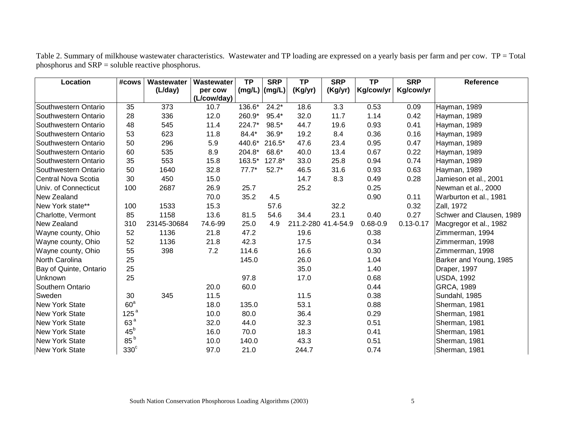Table 2. Summary of milkhouse wastewater characteristics. Wastewater and TP loading are expressed on a yearly basis per farm and per cow. TP = Total phosphorus and SRP = soluble reactive phosphorus.

| Location               | #cows            | Wastewater  | Wastewater  | <b>TP</b>       | <b>SRP</b> | <b>TP</b> | <b>SRP</b>          | $\overline{TP}$ | <b>SRP</b>    | Reference                |
|------------------------|------------------|-------------|-------------|-----------------|------------|-----------|---------------------|-----------------|---------------|--------------------------|
|                        |                  | (L/day)     | per cow     | $(mg/L)$ (mg/L) |            | (Kg/yr)   | (Kg/yr)             | Kg/cow/yr       | Kg/cow/yr     |                          |
|                        |                  |             | (L/cow/day) |                 |            |           |                     |                 |               |                          |
| Southwestern Ontario   | 35               | 373         | 10.7        | 136.6*          | $24.2*$    | 18.6      | 3.3                 | 0.53            | 0.09          | Hayman, 1989             |
| Southwestern Ontario   | 28               | 336         | 12.0        | 260.9*          | $95.4*$    | 32.0      | 11.7                | 1.14            | 0.42          | Hayman, 1989             |
| Southwestern Ontario   | 48               | 545         | 11.4        | 224.7*          | 98.5*      | 44.7      | 19.6                | 0.93            | 0.41          | Hayman, 1989             |
| Southwestern Ontario   | 53               | 623         | 11.8        | 84.4*           | $36.9*$    | 19.2      | 8.4                 | 0.36            | 0.16          | Hayman, 1989             |
| Southwestern Ontario   | 50               | 296         | 5.9         | 440.6*          | $216.5*$   | 47.6      | 23.4                | 0.95            | 0.47          | Hayman, 1989             |
| Southwestern Ontario   | 60               | 535         | 8.9         | 204.8*          | 68.6*      | 40.0      | 13.4                | 0.67            | 0.22          | Hayman, 1989             |
| Southwestern Ontario   | 35               | 553         | 15.8        | 163.5*          | 127.8*     | 33.0      | 25.8                | 0.94            | 0.74          | Hayman, 1989             |
| Southwestern Ontario   | 50               | 1640        | 32.8        | $77.7*$         | $52.7*$    | 46.5      | 31.6                | 0.93            | 0.63          | Hayman, 1989             |
| Central Nova Scotia    | 30               | 450         | 15.0        |                 |            | 14.7      | 8.3                 | 0.49            | 0.28          | Jamieson et al., 2001    |
| Univ. of Connecticut   | 100              | 2687        | 26.9        | 25.7            |            | 25.2      |                     | 0.25            |               | Newman et al., 2000      |
| New Zealand            |                  |             | 70.0        | 35.2            | 4.5        |           |                     | 0.90            | 0.11          | Warburton et al., 1981   |
| New York state**       | 100              | 1533        | 15.3        |                 | 57.6       |           | 32.2                |                 | 0.32          | Zall, 1972               |
| Charlotte, Vermont     | 85               | 1158        | 13.6        | 81.5            | 54.6       | 34.4      | 23.1                | 0.40            | 0.27          | Schwer and Clausen, 1989 |
| New Zealand            | 310              | 23145-30684 | 74.6-99     | 25.0            | 4.9        |           | 211.2-280 41.4-54.9 | $0.68 - 0.9$    | $0.13 - 0.17$ | Macgregor et al., 1982   |
| Wayne county, Ohio     | 52               | 1136        | 21.8        | 47.2            |            | 19.6      |                     | 0.38            |               | Zimmerman, 1994          |
| Wayne county, Ohio     | 52               | 1136        | 21.8        | 42.3            |            | 17.5      |                     | 0.34            |               | Zimmerman, 1998          |
| Wayne county, Ohio     | 55               | 398         | 7.2         | 114.6           |            | 16.6      |                     | 0.30            |               | Zimmerman, 1998          |
| North Carolina         | 25               |             |             | 145.0           |            | 26.0      |                     | 1.04            |               | Barker and Young, 1985   |
| Bay of Quinte, Ontario | 25               |             |             |                 |            | 35.0      |                     | 1.40            |               | Draper, 1997             |
| Unknown                | 25               |             |             | 97.8            |            | 17.0      |                     | 0.68            |               | <b>USDA, 1992</b>        |
| Southern Ontario       |                  |             | 20.0        | 60.0            |            |           |                     | 0.44            |               | GRCA, 1989               |
| Sweden                 | 30               | 345         | 11.5        |                 |            | 11.5      |                     | 0.38            |               | Sundahl, 1985            |
| New York State         | 60 <sup>a</sup>  |             | 18.0        | 135.0           |            | 53.1      |                     | 0.88            |               | Sherman, 1981            |
| <b>New York State</b>  | 125 <sup>a</sup> |             | 10.0        | 80.0            |            | 36.4      |                     | 0.29            |               | Sherman, 1981            |
| <b>New York State</b>  | 63 <sup>a</sup>  |             | 32.0        | 44.0            |            | 32.3      |                     | 0.51            |               | Sherman, 1981            |
| New York State         | $45^{\rm b}$     |             | 16.0        | 70.0            |            | 18.3      |                     | 0.41            |               | Sherman, 1981            |
| New York State         | 85 <sup>b</sup>  |             | 10.0        | 140.0           |            | 43.3      |                     | 0.51            |               | Sherman, 1981            |
| <b>New York State</b>  | $330^\circ$      |             | 97.0        | 21.0            |            | 244.7     |                     | 0.74            |               | Sherman, 1981            |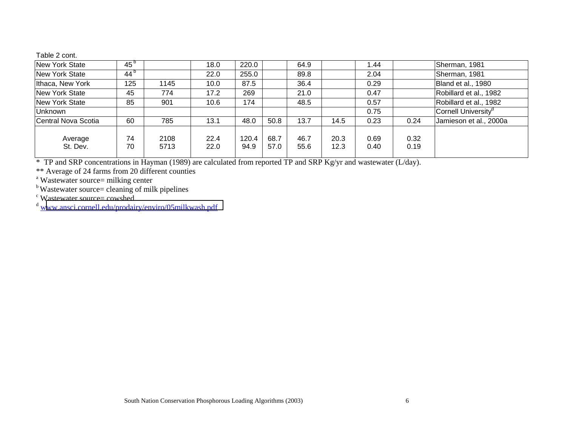## Table 2 cont.

| New York State        | 45 <sup>b</sup>         |              | 18.0         | 220.0         |              | 64.9         |              | 1.44         |              | Sherman, 1981                   |
|-----------------------|-------------------------|--------------|--------------|---------------|--------------|--------------|--------------|--------------|--------------|---------------------------------|
| <b>New York State</b> | $\overline{4}4^{\circ}$ |              | 22.0         | 255.0         |              | 89.8         |              | 2.04         |              | Sherman, 1981                   |
| Ithaca, New York      | 125                     | 1145         | 10.0         | 87.5          |              | 36.4         |              | 0.29         |              | Bland et al., 1980              |
| New York State        | 45                      | 774          | 17.2         | 269           |              | 21.0         |              | 0.47         |              | Robillard et al., 1982          |
| <b>New York State</b> | 85                      | 901          | 10.6         | 174           |              | 48.5         |              | 0.57         |              | Robillard et al., 1982          |
| <b>Unknown</b>        |                         |              |              |               |              |              |              | 0.75         |              | Cornell University <sup>d</sup> |
| Central Nova Scotia   | 60                      | 785          | 13.1         | 48.0          | 50.8         | 13.7         | 14.5         | 0.23         | 0.24         | Jamieson et al., 2000a          |
| Average<br>St. Dev.   | 74<br>70                | 2108<br>5713 | 22.4<br>22.0 | 120.4<br>94.9 | 68.7<br>57.0 | 46.7<br>55.6 | 20.3<br>12.3 | 0.69<br>0.40 | 0.32<br>0.19 |                                 |

\* TP and SRP concentrations in Hayman (1989) are calculated from reported TP and SRP Kg/yr and wastewater (L/day).

\*\* Average of 24 farms from 20 different counties

<sup>a</sup> Wastewater source= milking center

<sup>b</sup> Wastewater source= cleaning of milk pipelines

<sup>c</sup> Wastewater source= cowshed<br><sup>d</sup> <u>w[ww.ansci.cornell.edu/prodairy/enviro/05milkwash.pdf](http://www.ansci.cornell.edu/prodairy/enviro/05milkwash.pdf)</u>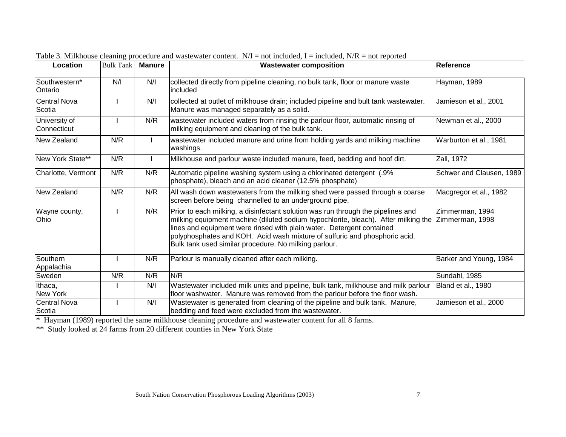| Location                      | <b>Bulk Tank</b> | <b>Manure</b> | <b>Wastewater composition</b>                                                                                                                                                                                                                                                                                                                                                          | Reference                          |
|-------------------------------|------------------|---------------|----------------------------------------------------------------------------------------------------------------------------------------------------------------------------------------------------------------------------------------------------------------------------------------------------------------------------------------------------------------------------------------|------------------------------------|
| Southwestern*<br>Ontario      | N/I              | N/I           | collected directly from pipeline cleaning, no bulk tank, floor or manure waste<br>included                                                                                                                                                                                                                                                                                             | Hayman, 1989                       |
| <b>Central Nova</b><br>Scotia |                  | N/I           | collected at outlet of milkhouse drain; included pipeline and bult tank wastewater.<br>Manure was managed separately as a solid.                                                                                                                                                                                                                                                       | Jamieson et al., 2001              |
| University of<br>Connecticut  |                  | N/R           | wastewater included waters from rinsing the parlour floor, automatic rinsing of<br>milking equipment and cleaning of the bulk tank.                                                                                                                                                                                                                                                    | Newman et al., 2000                |
| New Zealand                   | N/R              |               | wastewater included manure and urine from holding yards and milking machine<br>washings.                                                                                                                                                                                                                                                                                               | Warburton et al., 1981             |
| New York State**              | N/R              |               | Milkhouse and parlour waste included manure, feed, bedding and hoof dirt.                                                                                                                                                                                                                                                                                                              | Zall, 1972                         |
| Charlotte, Vermont            | N/R              | N/R           | Automatic pipeline washing system using a chlorinated detergent (.9%<br>phosphate), bleach and an acid cleaner (12.5% phosphate)                                                                                                                                                                                                                                                       | Schwer and Clausen, 1989           |
| New Zealand                   | N/R              | N/R           | All wash down wastewaters from the milking shed were passed through a coarse<br>screen before being channelled to an underground pipe.                                                                                                                                                                                                                                                 | Macgregor et al., 1982             |
| Wayne county,<br>Ohio         |                  | N/R           | Prior to each milking, a disinfectant solution was run through the pipelines and<br>milking equipment machine (diluted sodium hypochlorite, bleach). After milking the<br>lines and equipment were rinsed with plain water. Detergent contained<br>polyphosphates and KOH. Acid wash mixture of sulfuric and phosphoric acid.<br>Bulk tank used similar procedure. No milking parlour. | Zimmerman, 1994<br>Zimmerman, 1998 |
| Southern<br>Appalachia        |                  | N/R           | Parlour is manually cleaned after each milking.                                                                                                                                                                                                                                                                                                                                        | Barker and Young, 1984             |
| Sweden                        | N/R              | N/R           | N/R                                                                                                                                                                                                                                                                                                                                                                                    | Sundahl, 1985                      |
| Ithaca,<br>New York           |                  | N/I           | Wastewater included milk units and pipeline, bulk tank, milkhouse and milk parlour<br>floor washwater. Manure was removed from the parlour before the floor wash.                                                                                                                                                                                                                      | Bland et al., 1980                 |
| <b>Central Nova</b><br>Scotia |                  | N/I           | Wastewater is generated from cleaning of the pipeline and bulk tank. Manure,<br>bedding and feed were excluded from the wastewater.                                                                                                                                                                                                                                                    | Jamieson et al., 2000              |

Table 3. Milkhouse cleaning procedure and wastewater content.  $N/I = not$  included, I = included,  $N/R = not$  reported

\* Hayman (1989) reported the same milkhouse cleaning procedure and wastewater content for all 8 farms.

\*\* Study looked at 24 farms from 20 different counties in New York State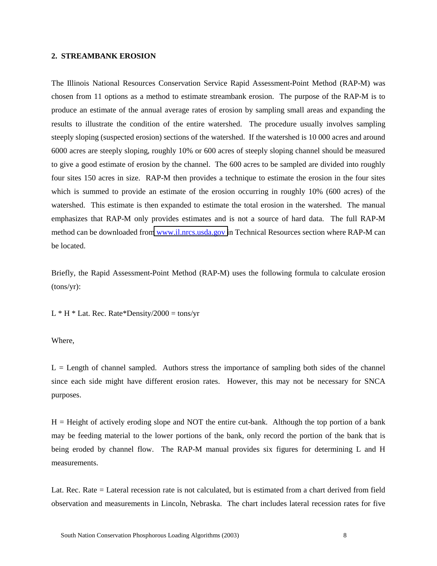#### **2. STREAMBANK EROSION**

The Illinois National Resources Conservation Service Rapid Assessment-Point Method (RAP-M) was chosen from 11 options as a method to estimate streambank erosion. The purpose of the RAP-M is to produce an estimate of the annual average rates of erosion by sampling small areas and expanding the results to illustrate the condition of the entire watershed. The procedure usually involves sampling steeply sloping (suspected erosion) sections of the watershed. If the watershed is 10 000 acres and around 6000 acres are steeply sloping, roughly 10% or 600 acres of steeply sloping channel should be measured to give a good estimate of erosion by the channel. The 600 acres to be sampled are divided into roughly four sites 150 acres in size. RAP-M then provides a technique to estimate the erosion in the four sites which is summed to provide an estimate of the erosion occurring in roughly 10% (600 acres) of the watershed. This estimate is then expanded to estimate the total erosion in the watershed. The manual emphasizes that RAP-M only provides estimates and is not a source of hard data. The full RAP-M method can be downloaded fro[m www.il.nrcs.usda.gov i](http://www.il.nrcs.usda.gov/)n Technical Resources section where RAP-M can be located.

Briefly, the Rapid Assessment-Point Method (RAP-M) uses the following formula to calculate erosion (tons/yr):

 $L * H * Lat$ . Rec. Rate\*Density/2000 = tons/yr

Where,

 $L =$  Length of channel sampled. Authors stress the importance of sampling both sides of the channel since each side might have different erosion rates. However, this may not be necessary for SNCA purposes.

 $H =$  Height of actively eroding slope and NOT the entire cut-bank. Although the top portion of a bank may be feeding material to the lower portions of the bank, only record the portion of the bank that is being eroded by channel flow. The RAP-M manual provides six figures for determining L and H measurements.

Lat. Rec. Rate = Lateral recession rate is not calculated, but is estimated from a chart derived from field observation and measurements in Lincoln, Nebraska. The chart includes lateral recession rates for five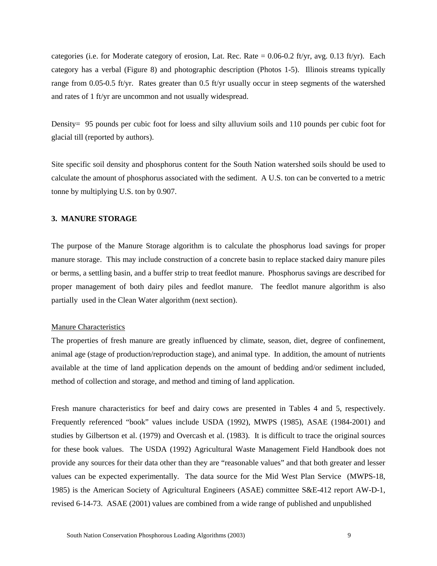categories (i.e. for Moderate category of erosion, Lat. Rec. Rate =  $0.06$ -0.2 ft/yr, avg. 0.13 ft/yr). Each category has a verbal (Figure 8) and photographic description (Photos 1-5). Illinois streams typically range from 0.05-0.5 ft/yr. Rates greater than 0.5 ft/yr usually occur in steep segments of the watershed and rates of 1 ft/yr are uncommon and not usually widespread.

Density= 95 pounds per cubic foot for loess and silty alluvium soils and 110 pounds per cubic foot for glacial till (reported by authors).

Site specific soil density and phosphorus content for the South Nation watershed soils should be used to calculate the amount of phosphorus associated with the sediment. A U.S. ton can be converted to a metric tonne by multiplying U.S. ton by 0.907.

#### **3. MANURE STORAGE**

The purpose of the Manure Storage algorithm is to calculate the phosphorus load savings for proper manure storage. This may include construction of a concrete basin to replace stacked dairy manure piles or berms, a settling basin, and a buffer strip to treat feedlot manure. Phosphorus savings are described for proper management of both dairy piles and feedlot manure. The feedlot manure algorithm is also partially used in the Clean Water algorithm (next section).

### Manure Characteristics

The properties of fresh manure are greatly influenced by climate, season, diet, degree of confinement, animal age (stage of production/reproduction stage), and animal type. In addition, the amount of nutrients available at the time of land application depends on the amount of bedding and/or sediment included, method of collection and storage, and method and timing of land application.

Fresh manure characteristics for beef and dairy cows are presented in Tables 4 and 5, respectively. Frequently referenced "book" values include USDA (1992), MWPS (1985), ASAE (1984-2001) and studies by Gilbertson et al. (1979) and Overcash et al. (1983). It is difficult to trace the original sources for these book values. The USDA (1992) Agricultural Waste Management Field Handbook does not provide any sources for their data other than they are "reasonable values" and that both greater and lesser values can be expected experimentally. The data source for the Mid West Plan Service (MWPS-18, 1985) is the American Society of Agricultural Engineers (ASAE) committee S&E-412 report AW-D-1, revised 6-14-73. ASAE (2001) values are combined from a wide range of published and unpublished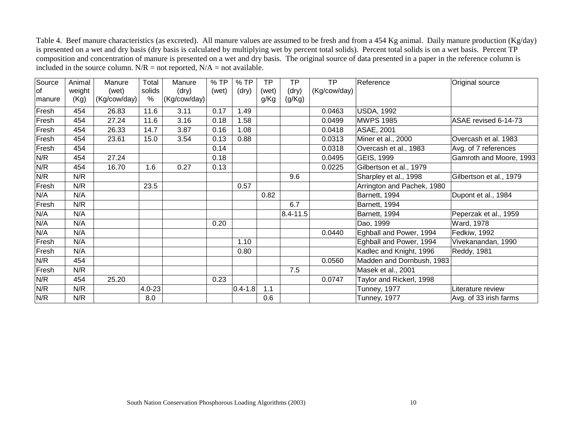Table 4. Beef manure characteristics (as excreted). All manure values are assumed to be fresh and from a 454 Kg animal. Daily manure production (Kg/day) is presented on a wet and dry basis (dry basis is calculated by multiplying wet by percent total solids). Percent total solids is on a wet basis. Percent TP composition and concentration of manure is presented on a wet and dry basis. The original source of data presented in a paper in the reference column is included in the source column.  $N/R =$  not reported,  $N/A =$  not available.

| Source    | Animal | Manure       | Total                | Manure       | %TP   | $%$ TP      | <b>TP</b> | <b>TP</b> | <b>TP</b>    | Reference                  | Original source         |
|-----------|--------|--------------|----------------------|--------------|-------|-------------|-----------|-----------|--------------|----------------------------|-------------------------|
| <b>of</b> | weight | (wet)        | solids               | (dry)        | (wet) | (dry)       | (wet)     | (dry)     | (Kg/cow/day) |                            |                         |
| manure    | (Kg)   | (Kg/cow/day) | %                    | (Kg/cow/day) |       |             | g/Kg      | (g/Kg)    |              |                            |                         |
| Fresh     | 454    | 26.83        | 11.6                 | 3.11         | 0.17  | 1.49        |           |           | 0.0463       | <b>USDA, 1992</b>          |                         |
| Fresh     | 454    | 27.24        | 11.6                 | 3.16         | 0.18  | .58         |           |           | 0.0499       | <b>MWPS 1985</b>           | ASAE revised 6-14-73    |
| Fresh     | 454    | 26.33        | 14.7                 | 3.87         | 0.16  | 1.08        |           |           | 0.0418       | <b>ASAE, 2001</b>          |                         |
| Fresh     | 454    | 23.61        | 15.0                 | 3.54         | 0.13  | 0.88        |           |           | 0.0313       | Miner et al., 2000         | Overcash et al. 1983    |
| Fresh     | 454    |              |                      |              | 0.14  |             |           |           | 0.0318       | Overcash et al., 1983      | Avg. of 7 references    |
| N/R       | 454    | 27.24        |                      |              | 0.18  |             |           |           | 0.0495       | GEIS, 1999                 | Gamroth and Moore, 1993 |
| N/R       | 454    | 16.70        | 1.6                  | 0.27         | 0.13  |             |           |           | 0.0225       | Gilbertson et al., 1979    |                         |
| N/R       | N/R    |              |                      |              |       |             |           | 9.6       |              | Sharpley et al., 1998      | Gilbertson et al., 1979 |
| Fresh     | N/R    |              | 23.5                 |              |       | 0.57        |           |           |              | Arrington and Pachek, 1980 |                         |
| N/A       | N/A    |              |                      |              |       |             | 0.82      |           |              | Barnett, 1994              | Dupont et al., 1984     |
| Fresh     | N/R    |              |                      |              |       |             |           | 6.7       |              | Barnett, 1994              |                         |
| N/A       | N/A    |              |                      |              |       |             |           | 8.4-11.5  |              | Barnett, 1994              | Peperzak et al., 1959   |
| N/A       | N/A    |              |                      |              | 0.20  |             |           |           |              | Dao, 1999                  | Ward, 1978              |
| N/A       | N/A    |              |                      |              |       |             |           |           | 0.0440       | Eghball and Power, 1994    | Fedkiw, 1992            |
| Fresh     | N/A    |              |                      |              |       | 1.10        |           |           |              | Eghball and Power, 1994    | Vivekanandan, 1990      |
| Fresh     | N/A    |              |                      |              |       | 0.80        |           |           |              | Kadlec and Knight, 1996    | Reddy, 1981             |
| N/R       | 454    |              |                      |              |       |             |           |           | 0.0560       | Madden and Dornbush, 1983  |                         |
| Fresh     | N/R    |              |                      |              |       |             |           | 7.5       |              | Masek et al., 2001         |                         |
| N/R       | 454    | 25.20        |                      |              | 0.23  |             |           |           | 0.0747       | Taylor and Rickerl, 1998   |                         |
| N/R       | N/R    |              | $\overline{4.0}$ -23 |              |       | $0.4 - 1.8$ | 1.1       |           |              | Tunney, 1977               | Literature review       |
| N/R       | N/R    |              | 8.0                  |              |       |             | 0.6       |           |              | <b>Tunney, 1977</b>        | Avg. of 33 irish farms  |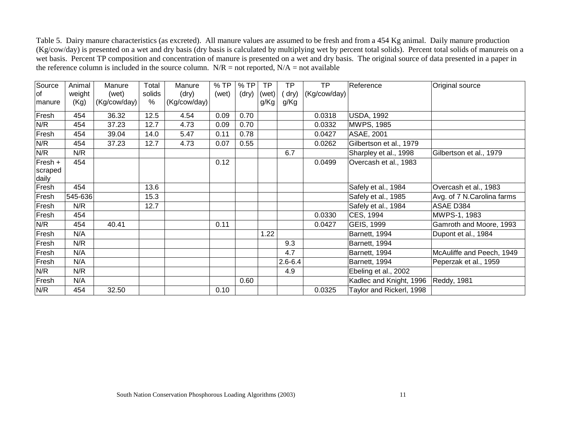Table 5. Dairy manure characteristics (as excreted). All manure values are assumed to be fresh and from a 454 Kg animal. Daily manure production (Kg/cow/day) is presented on a wet and dry basis (dry basis is calculated by multiplying wet by percent total solids). Percent total solids of manureis on a wet basis. Percent TP composition and concentration of manure is presented on a wet and dry basis. The original source of data presented in a paper in the reference column is included in the source column.  $N/R =$  not reported,  $N/A =$  not available

| Source           | Animal  | Manure       | Total  | Manure       | %TP   | $%$ TP | <b>TP</b> | <b>TP</b>   | <b>TP</b>    | Reference                | Original source            |
|------------------|---------|--------------|--------|--------------|-------|--------|-----------|-------------|--------------|--------------------------|----------------------------|
| <b>of</b>        | weight  | (wet)        | solids | (dry)        | (wet) | (dry)  | (wet)     | (dry)       | (Kg/cow/day) |                          |                            |
| manure           | (Kg)    | (Kg/cow/day) | $\%$   | (Kg/cow/day) |       |        | g/Kg      | g/Kg        |              |                          |                            |
| Fresh            | 454     | 36.32        | 12.5   | 4.54         | 0.09  | 0.70   |           |             | 0.0318       | <b>USDA, 1992</b>        |                            |
| N/R              | 454     | 37.23        | 12.7   | 4.73         | 0.09  | 0.70   |           |             | 0.0332       | <b>MWPS, 1985</b>        |                            |
| Fresh            | 454     | 39.04        | 14.0   | 5.47         | 0.11  | 0.78   |           |             | 0.0427       | ASAE, 2001               |                            |
| N/R              | 454     | 37.23        | 12.7   | 4.73         | 0.07  | 0.55   |           |             | 0.0262       | Gilbertson et al., 1979  |                            |
| N/R              | N/R     |              |        |              |       |        |           | 6.7         |              | Sharpley et al., 1998    | Gilbertson et al., 1979    |
| Fresh +          | 454     |              |        |              | 0.12  |        |           |             | 0.0499       | Overcash et al., 1983    |                            |
| scraped<br>daily |         |              |        |              |       |        |           |             |              |                          |                            |
| Fresh            | 454     |              | 13.6   |              |       |        |           |             |              | Safely et al., 1984      | Overcash et al., 1983      |
| Fresh            | 545-636 |              | 15.3   |              |       |        |           |             |              | Safely et al., 1985      | Avg. of 7 N.Carolina farms |
| Fresh            | N/R     |              | 12.7   |              |       |        |           |             |              | Safely et al., 1984      | ASAE D384                  |
| Fresh            | 454     |              |        |              |       |        |           |             | 0.0330       | CES, 1994                | MWPS-1, 1983               |
| N/R              | 454     | 40.41        |        |              | 0.11  |        |           |             | 0.0427       | GEIS, 1999               | Gamroth and Moore, 1993    |
| Fresh            | N/A     |              |        |              |       |        | 1.22      |             |              | Barnett, 1994            | Dupont et al., 1984        |
| Fresh            | N/R     |              |        |              |       |        |           | 9.3         |              | Barnett, 1994            |                            |
| Fresh            | N/A     |              |        |              |       |        |           | 4.7         |              | Barnett, 1994            | McAuliffe and Peech, 1949  |
| Fresh            | N/A     |              |        |              |       |        |           | $2.6 - 6.4$ |              | Barnett, 1994            | Peperzak et al., 1959      |
| N/R              | N/R     |              |        |              |       |        |           | 4.9         |              | Ebeling et al., 2002     |                            |
| Fresh            | N/A     |              |        |              |       | 0.60   |           |             |              | Kadlec and Knight, 1996  | <b>Reddy, 1981</b>         |
| N/R              | 454     | 32.50        |        |              | 0.10  |        |           |             | 0.0325       | Taylor and Rickerl, 1998 |                            |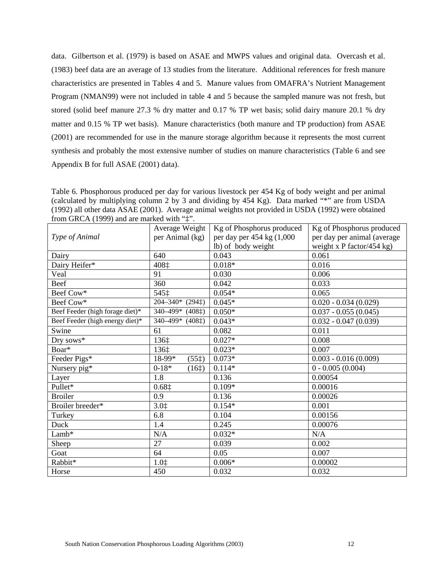data. Gilbertson et al. (1979) is based on ASAE and MWPS values and original data. Overcash et al. (1983) beef data are an average of 13 studies from the literature. Additional references for fresh manure characteristics are presented in Tables 4 and 5. Manure values from OMAFRA's Nutrient Management Program (NMAN99) were not included in table 4 and 5 because the sampled manure was not fresh, but stored (solid beef manure 27.3 % dry matter and 0.17 % TP wet basis; solid dairy manure 20.1 % dry matter and 0.15 % TP wet basis). Manure characteristics (both manure and TP production) from ASAE (2001) are recommended for use in the manure storage algorithm because it represents the most current synthesis and probably the most extensive number of studies on manure characteristics (Table 6 and see Appendix B for full ASAE (2001) data).

Table 6. Phosphorous produced per day for various livestock per 454 Kg of body weight and per animal (calculated by multiplying column 2 by 3 and dividing by 454 Kg). Data marked "\*" are from USDA (1992) all other data ASAE (2001). Average animal weights not provided in USDA (1992) were obtained from GRCA (1999) and are marked with "‡".

|                                 | Average Weight                                                   | Kg of Phosphorus produced | Kg of Phosphorus produced   |
|---------------------------------|------------------------------------------------------------------|---------------------------|-----------------------------|
| Type of Animal                  | per Animal (kg)                                                  | per day per 454 kg (1,000 | per day per animal (average |
|                                 |                                                                  | lb) of body weight        | weight x P factor/454 kg)   |
| Dairy                           | 640                                                              | 0.043                     | 0.061                       |
| Dairy Heifer*                   | 408‡                                                             | $0.018*$                  | 0.016                       |
| Veal                            | 91                                                               | 0.030                     | 0.006                       |
| Beef                            | 360                                                              | 0.042                     | 0.033                       |
| Beef Cow*                       | 545‡                                                             | $0.054*$                  | 0.065                       |
| Beef Cow*                       | $204 - 340*$ (294 $\ddagger$ )                                   | $0.045*$                  | $0.020 - 0.034(0.029)$      |
| Beef Feeder (high forage diet)* | $\overline{340} - 499^*$ (408 <sup><math>\ddagger</math></sup> ) | $0.050*$                  | $0.037 - 0.055(0.045)$      |
| Beef Feeder (high energy diet)* | 340-499* (408‡)                                                  | $0.043*$                  | $0.032 - 0.047$ (0.039)     |
| Swine                           | 61                                                               | 0.082                     | 0.011                       |
| Dry sows*                       | 136‡                                                             | $0.027*$                  | 0.008                       |
| $Boar*$                         | 136‡                                                             | $0.023*$                  | 0.007                       |
| Feeder Pigs*                    | 18-99*<br>(55 <sup>†</sup> )                                     | $0.073*$                  | $0.003 - 0.016(0.009)$      |
| Nursery pig*                    | $0 - 18*$<br>(16 <sup>†</sup> )                                  | $0.114*$                  | $0 - 0.005(0.004)$          |
| Layer                           | 1.8                                                              | 0.136                     | 0.00054                     |
| Pullet*                         | 0.681                                                            | $0.109*$                  | 0.00016                     |
| <b>Broiler</b>                  | 0.9                                                              | 0.136                     | 0.00026                     |
| Broiler breeder*                | 3.01                                                             | $0.154*$                  | 0.001                       |
| Turkey                          | 6.8                                                              | 0.104                     | 0.00156                     |
| Duck                            | 1.4                                                              | 0.245                     | 0.00076                     |
| Lamb*                           | N/A                                                              | $0.032*$                  | N/A                         |
| Sheep                           | 27                                                               | 0.039                     | 0.002                       |
| Goat                            | 64                                                               | 0.05                      | 0.007                       |
| Rabbit*                         | $1.0$ $\dagger$                                                  | $0.006*$                  | 0.00002                     |
| Horse                           | 450                                                              | 0.032                     | 0.032                       |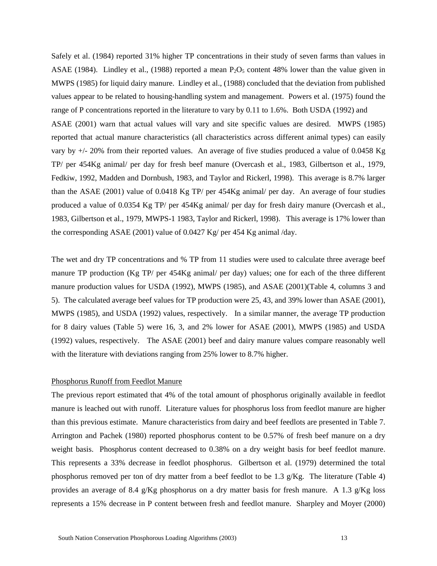Safely et al. (1984) reported 31% higher TP concentrations in their study of seven farms than values in ASAE (1984). Lindley et al., (1988) reported a mean  $P_2O_5$  content 48% lower than the value given in MWPS (1985) for liquid dairy manure. Lindley et al., (1988) concluded that the deviation from published values appear to be related to housing-handling system and management. Powers et al. (1975) found the range of P concentrations reported in the literature to vary by 0.11 to 1.6%. Both USDA (1992) and ASAE (2001) warn that actual values will vary and site specific values are desired. MWPS (1985) reported that actual manure characteristics (all characteristics across different animal types) can easily vary by +/- 20% from their reported values. An average of five studies produced a value of 0.0458 Kg TP/ per 454Kg animal/ per day for fresh beef manure (Overcash et al., 1983, Gilbertson et al., 1979, Fedkiw, 1992, Madden and Dornbush, 1983, and Taylor and Rickerl, 1998). This average is 8.7% larger than the ASAE (2001) value of 0.0418 Kg TP/ per 454Kg animal/ per day. An average of four studies produced a value of 0.0354 Kg TP/ per 454Kg animal/ per day for fresh dairy manure (Overcash et al., 1983, Gilbertson et al., 1979, MWPS-1 1983, Taylor and Rickerl, 1998). This average is 17% lower than the corresponding ASAE (2001) value of 0.0427 Kg/ per 454 Kg animal /day.

The wet and dry TP concentrations and % TP from 11 studies were used to calculate three average beef manure TP production (Kg TP/ per 454Kg animal/ per day) values; one for each of the three different manure production values for USDA (1992), MWPS (1985), and ASAE (2001)(Table 4, columns 3 and 5). The calculated average beef values for TP production were 25, 43, and 39% lower than ASAE (2001), MWPS (1985), and USDA (1992) values, respectively. In a similar manner, the average TP production for 8 dairy values (Table 5) were 16, 3, and 2% lower for ASAE (2001), MWPS (1985) and USDA (1992) values, respectively. The ASAE (2001) beef and dairy manure values compare reasonably well with the literature with deviations ranging from 25% lower to 8.7% higher.

## Phosphorus Runoff from Feedlot Manure

The previous report estimated that 4% of the total amount of phosphorus originally available in feedlot manure is leached out with runoff. Literature values for phosphorus loss from feedlot manure are higher than this previous estimate. Manure characteristics from dairy and beef feedlots are presented in Table 7. Arrington and Pachek (1980) reported phosphorus content to be 0.57% of fresh beef manure on a dry weight basis. Phosphorus content decreased to 0.38% on a dry weight basis for beef feedlot manure. This represents a 33% decrease in feedlot phosphorus. Gilbertson et al. (1979) determined the total phosphorus removed per ton of dry matter from a beef feedlot to be 1.3 g/Kg. The literature (Table 4) provides an average of 8.4 g/Kg phosphorus on a dry matter basis for fresh manure. A 1.3 g/Kg loss represents a 15% decrease in P content between fresh and feedlot manure. Sharpley and Moyer (2000)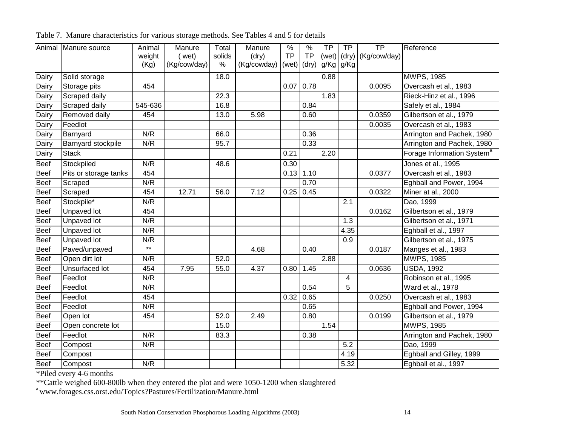|             | Animal Manure source  | Animal  | Manure       | Total  | Manure      | $\%$      | $\%$      | <b>TP</b> | TP   | $\overline{TP}$      | Reference                              |
|-------------|-----------------------|---------|--------------|--------|-------------|-----------|-----------|-----------|------|----------------------|----------------------------------------|
|             |                       | weight  | ( wet)       | solids | (dry)       | <b>TP</b> | <b>TP</b> | (wet)     |      | $(dry)$ (Kg/cow/day) |                                        |
|             |                       | (Kg)    | (Kg/cow/day) | $\%$   | (Kg/cowday) | (wet)     | (dry)     | g/Kg      | g/Kg |                      |                                        |
| Dairy       | Solid storage         |         |              | 18.0   |             |           |           | 0.88      |      |                      | <b>MWPS, 1985</b>                      |
| Dairy       | Storage pits          | 454     |              |        |             | 0.07      | 0.78      |           |      | 0.0095               | Overcash et al., 1983                  |
| Dairy       | Scraped daily         |         |              | 22.3   |             |           |           | 1.83      |      |                      | Rieck-Hinz et al., 1996                |
| Dairy       | Scraped daily         | 545-636 |              | 16.8   |             |           | 0.84      |           |      |                      | Safely et al., 1984                    |
| Dairy       | Removed daily         | 454     |              | 13.0   | 5.98        |           | 0.60      |           |      | 0.0359               | Gilbertson et al., 1979                |
| Dairy       | Feedlot               |         |              |        |             |           |           |           |      | 0.0035               | Overcash et al., 1983                  |
| Dairy       | Barnyard              | N/R     |              | 66.0   |             |           | 0.36      |           |      |                      | Arrington and Pachek, 1980             |
| Dairy       | Barnyard stockpile    | N/R     |              | 95.7   |             |           | 0.33      |           |      |                      | Arrington and Pachek, 1980             |
| Dairy       | <b>Stack</b>          |         |              |        |             | 0.21      |           | 2.20      |      |                      | Forage Information System <sup>a</sup> |
| <b>Beef</b> | Stockpiled            | N/R     |              | 48.6   |             | 0.30      |           |           |      |                      | Jones et al., 1995                     |
| Beef        | Pits or storage tanks | 454     |              |        |             | 0.13      | 1.10      |           |      | 0.0377               | Overcash et al., 1983                  |
| <b>Beef</b> | Scraped               | N/R     |              |        |             |           | 0.70      |           |      |                      | Eghball and Power, 1994                |
| <b>Beef</b> | Scraped               | 454     | 12.71        | 56.0   | 7.12        | 0.25      | 0.45      |           |      | 0.0322               | Miner at al., 2000                     |
| Beef        | Stockpile*            | N/R     |              |        |             |           |           |           | 2.1  |                      | Dao, 1999                              |
| <b>Beef</b> | <b>Unpaved lot</b>    | 454     |              |        |             |           |           |           |      | 0.0162               | Gilbertson et al., 1979                |
| Beef        | <b>Unpaved lot</b>    | N/R     |              |        |             |           |           |           | 1.3  |                      | Gilbertson et al., 1971                |
| <b>Beef</b> | <b>Unpaved lot</b>    | N/R     |              |        |             |           |           |           | 4.35 |                      | Eghball et al., 1997                   |
| <b>Beef</b> | Unpaved lot           | N/R     |              |        |             |           |           |           | 0.9  |                      | Gilbertson et al., 1975                |
| <b>Beef</b> | Paved/unpaved         | $***$   |              |        | 4.68        |           | 0.40      |           |      | 0.0187               | Manges et al., 1983                    |
| Beef        | Open dirt lot         | N/R     |              | 52.0   |             |           |           | 2.88      |      |                      | <b>MWPS, 1985</b>                      |
| Beef        | Unsurfaced lot        | 454     | 7.95         | 55.0   | 4.37        | 0.80      | 1.45      |           |      | 0.0636               | <b>USDA, 1992</b>                      |
| <b>Beef</b> | Feedlot               | N/R     |              |        |             |           |           |           | 4    |                      | Robinson et al., 1995                  |
| <b>Beef</b> | Feedlot               | N/R     |              |        |             |           | 0.54      |           | 5    |                      | Ward et al., 1978                      |
| Beef        | Feedlot               | 454     |              |        |             | 0.32      | 0.65      |           |      | 0.0250               | Overcash et al., 1983                  |
| Beef        | Feedlot               | N/R     |              |        |             |           | 0.65      |           |      |                      | Eghball and Power, 1994                |
| <b>Beef</b> | Open lot              | 454     |              | 52.0   | 2.49        |           | 0.80      |           |      | 0.0199               | Gilbertson et al., 1979                |
| <b>Beef</b> | Open concrete lot     |         |              | 15.0   |             |           |           | 1.54      |      |                      | <b>MWPS, 1985</b>                      |
| <b>Beef</b> | Feedlot               | N/R     |              | 83.3   |             |           | 0.38      |           |      |                      | Arrington and Pachek, 1980             |
| <b>Beef</b> | Compost               | N/R     |              |        |             |           |           |           | 5.2  |                      | Dao, 1999                              |
| <b>Beef</b> | Compost               |         |              |        |             |           |           |           | 4.19 |                      | Eghball and Gilley, 1999               |
| Beef        | Compost               | N/R     |              |        |             |           |           |           | 5.32 |                      | Eghball et al., 1997                   |

Table 7. Manure characteristics for various storage methods. See Tables 4 and 5 for details

\*Piled every 4-6 months

\*\*Cattle weighed 600-800lb when they entered the plot and were 1050-1200 when slaughtered

<sup>a</sup> www.forages.css.orst.edu/Topics?Pastures/Fertilization/Manure.html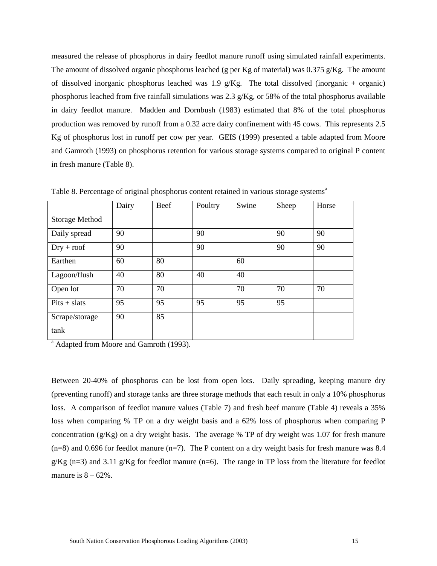measured the release of phosphorus in dairy feedlot manure runoff using simulated rainfall experiments. The amount of dissolved organic phosphorus leached (g per Kg of material) was  $0.375$  g/Kg. The amount of dissolved inorganic phosphorus leached was 1.9  $g/Kg$ . The total dissolved (inorganic + organic) phosphorus leached from five rainfall simulations was 2.3 g/Kg, or 58% of the total phosphorus available in dairy feedlot manure. Madden and Dornbush (1983) estimated that 8% of the total phosphorus production was removed by runoff from a 0.32 acre dairy confinement with 45 cows. This represents 2.5 Kg of phosphorus lost in runoff per cow per year. GEIS (1999) presented a table adapted from Moore and Gamroth (1993) on phosphorus retention for various storage systems compared to original P content in fresh manure (Table 8).

|                       | Dairy | Beef | Poultry | Swine | Sheep | Horse |
|-----------------------|-------|------|---------|-------|-------|-------|
| <b>Storage Method</b> |       |      |         |       |       |       |
| Daily spread          | 90    |      | 90      |       | 90    | 90    |
| $Dry + root$          | 90    |      | 90      |       | 90    | 90    |
| Earthen               | 60    | 80   |         | 60    |       |       |
| Lagoon/flush          | 40    | 80   | 40      | 40    |       |       |
| Open lot              | 70    | 70   |         | 70    | 70    | 70    |
| $Pits + slats$        | 95    | 95   | 95      | 95    | 95    |       |
| Scrape/storage        | 90    | 85   |         |       |       |       |
| tank                  |       |      |         |       |       |       |

Table 8. Percentage of original phosphorus content retained in various storage systems<sup>a</sup>

<sup>a</sup> Adapted from Moore and Gamroth (1993).

Between 20-40% of phosphorus can be lost from open lots. Daily spreading, keeping manure dry (preventing runoff) and storage tanks are three storage methods that each result in only a 10% phosphorus loss. A comparison of feedlot manure values (Table 7) and fresh beef manure (Table 4) reveals a 35% loss when comparing % TP on a dry weight basis and a 62% loss of phosphorus when comparing P concentration  $(g/Kg)$  on a dry weight basis. The average % TP of dry weight was 1.07 for fresh manure  $(n=8)$  and 0.696 for feedlot manure  $(n=7)$ . The P content on a dry weight basis for fresh manure was 8.4 g/Kg (n=3) and 3.11 g/Kg for feedlot manure (n=6). The range in TP loss from the literature for feedlot manure is  $8 - 62\%$ .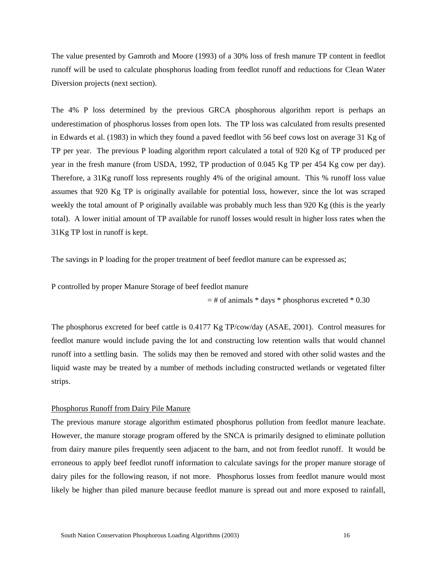The value presented by Gamroth and Moore (1993) of a 30% loss of fresh manure TP content in feedlot runoff will be used to calculate phosphorus loading from feedlot runoff and reductions for Clean Water Diversion projects (next section).

The 4% P loss determined by the previous GRCA phosphorous algorithm report is perhaps an underestimation of phosphorus losses from open lots. The TP loss was calculated from results presented in Edwards et al. (1983) in which they found a paved feedlot with 56 beef cows lost on average 31 Kg of TP per year. The previous P loading algorithm report calculated a total of 920 Kg of TP produced per year in the fresh manure (from USDA, 1992, TP production of 0.045 Kg TP per 454 Kg cow per day). Therefore, a 31Kg runoff loss represents roughly 4% of the original amount. This % runoff loss value assumes that 920 Kg TP is originally available for potential loss, however, since the lot was scraped weekly the total amount of P originally available was probably much less than 920 Kg (this is the yearly total). A lower initial amount of TP available for runoff losses would result in higher loss rates when the 31Kg TP lost in runoff is kept.

The savings in P loading for the proper treatment of beef feedlot manure can be expressed as;

P controlled by proper Manure Storage of beef feedlot manure

 $=$  # of animals  $*$  days  $*$  phosphorus excreted  $*$  0.30

The phosphorus excreted for beef cattle is 0.4177 Kg TP/cow/day (ASAE, 2001). Control measures for feedlot manure would include paving the lot and constructing low retention walls that would channel runoff into a settling basin. The solids may then be removed and stored with other solid wastes and the liquid waste may be treated by a number of methods including constructed wetlands or vegetated filter strips.

## Phosphorus Runoff from Dairy Pile Manure

The previous manure storage algorithm estimated phosphorus pollution from feedlot manure leachate. However, the manure storage program offered by the SNCA is primarily designed to eliminate pollution from dairy manure piles frequently seen adjacent to the barn, and not from feedlot runoff. It would be erroneous to apply beef feedlot runoff information to calculate savings for the proper manure storage of dairy piles for the following reason, if not more. Phosphorus losses from feedlot manure would most likely be higher than piled manure because feedlot manure is spread out and more exposed to rainfall,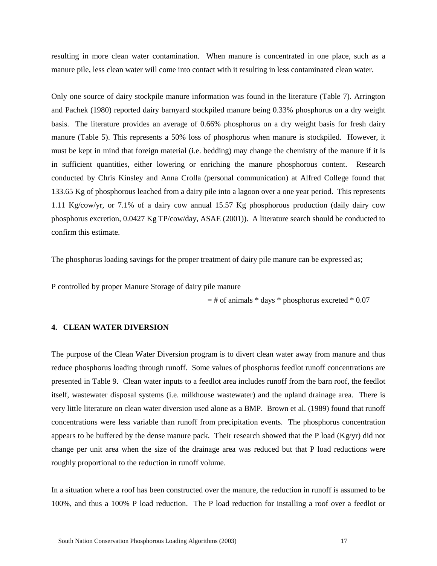resulting in more clean water contamination. When manure is concentrated in one place, such as a manure pile, less clean water will come into contact with it resulting in less contaminated clean water.

Only one source of dairy stockpile manure information was found in the literature (Table 7). Arrington and Pachek (1980) reported dairy barnyard stockpiled manure being 0.33% phosphorus on a dry weight basis. The literature provides an average of 0.66% phosphorus on a dry weight basis for fresh dairy manure (Table 5). This represents a 50% loss of phosphorus when manure is stockpiled. However, it must be kept in mind that foreign material (i.e. bedding) may change the chemistry of the manure if it is in sufficient quantities, either lowering or enriching the manure phosphorous content. Research conducted by Chris Kinsley and Anna Crolla (personal communication) at Alfred College found that 133.65 Kg of phosphorous leached from a dairy pile into a lagoon over a one year period. This represents 1.11 Kg/cow/yr, or 7.1% of a dairy cow annual 15.57 Kg phosphorous production (daily dairy cow phosphorus excretion, 0.0427 Kg TP/cow/day, ASAE (2001)). A literature search should be conducted to confirm this estimate.

The phosphorus loading savings for the proper treatment of dairy pile manure can be expressed as;

P controlled by proper Manure Storage of dairy pile manure

 $=$  # of animals  $*$  days  $*$  phosphorus excreted  $*$  0.07

## **4. CLEAN WATER DIVERSION**

The purpose of the Clean Water Diversion program is to divert clean water away from manure and thus reduce phosphorus loading through runoff. Some values of phosphorus feedlot runoff concentrations are presented in Table 9. Clean water inputs to a feedlot area includes runoff from the barn roof, the feedlot itself, wastewater disposal systems (i.e. milkhouse wastewater) and the upland drainage area. There is very little literature on clean water diversion used alone as a BMP. Brown et al. (1989) found that runoff concentrations were less variable than runoff from precipitation events. The phosphorus concentration appears to be buffered by the dense manure pack. Their research showed that the P load  $(Kg/yr)$  did not change per unit area when the size of the drainage area was reduced but that P load reductions were roughly proportional to the reduction in runoff volume.

In a situation where a roof has been constructed over the manure, the reduction in runoff is assumed to be 100%, and thus a 100% P load reduction. The P load reduction for installing a roof over a feedlot or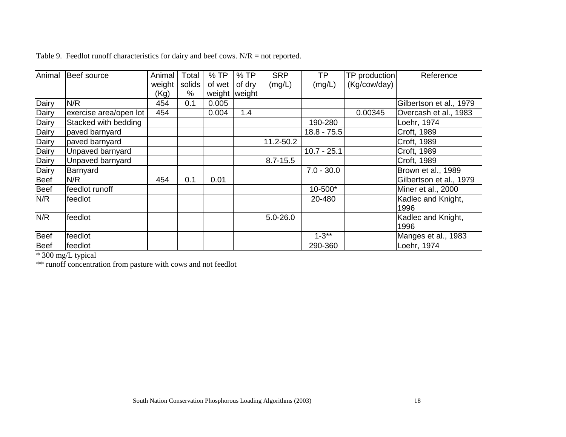| Animal      | Beef source            | Animal | Total  | %TP    | $%$ TP          | <b>SRP</b>   | <b>TP</b>     | TP production | Reference                  |
|-------------|------------------------|--------|--------|--------|-----------------|--------------|---------------|---------------|----------------------------|
|             |                        | weight | solids | of wet | of dry          | (mg/L)       | (mg/L)        | (Kg/cow/day)  |                            |
|             |                        | (Kg)   | $\%$   |        | weight   weight |              |               |               |                            |
| Dairy       | N/R                    | 454    | 0.1    | 0.005  |                 |              |               |               | Gilbertson et al., 1979    |
| Dairy       | exercise area/open lot | 454    |        | 0.004  | 1.4             |              |               | 0.00345       | Overcash et al., 1983      |
| Dairy       | Stacked with bedding   |        |        |        |                 |              | 190-280       |               | Loehr, 1974                |
| Dairy       | paved barnyard         |        |        |        |                 |              | $18.8 - 75.5$ |               | Croft, 1989                |
| Dairy       | paved barnyard         |        |        |        |                 | 11.2-50.2    |               |               | Croft, 1989                |
| Dairy       | Unpaved barnyard       |        |        |        |                 |              | $10.7 - 25.1$ |               | Croft, 1989                |
| Dairy       | Unpaved barnyard       |        |        |        |                 | $8.7 - 15.5$ |               |               | Croft, 1989                |
| Dairy       | Barnyard               |        |        |        |                 |              | $7.0 - 30.0$  |               | Brown et al., 1989         |
| <b>Beef</b> | N/R                    | 454    | 0.1    | 0.01   |                 |              |               |               | Gilbertson et al., 1979    |
| <b>Beef</b> | feedlot runoff         |        |        |        |                 |              | 10-500*       |               | Miner et al., 2000         |
| N/R         | feedlot                |        |        |        |                 |              | 20-480        |               | Kadlec and Knight,<br>1996 |
| N/R         | feedlot                |        |        |        |                 | $5.0 - 26.0$ |               |               | Kadlec and Knight,<br>1996 |
| <b>Beef</b> | feedlot                |        |        |        |                 |              | $1 - 3**$     |               | Manges et al., 1983        |
| <b>Beef</b> | feedlot                |        |        |        |                 |              | 290-360       |               | Loehr, 1974                |

Table 9. Feedlot runoff characteristics for dairy and beef cows.  $N/R =$  not reported.

\* 300 mg/L typical

\*\* runoff concentration from pasture with cows and not feedlot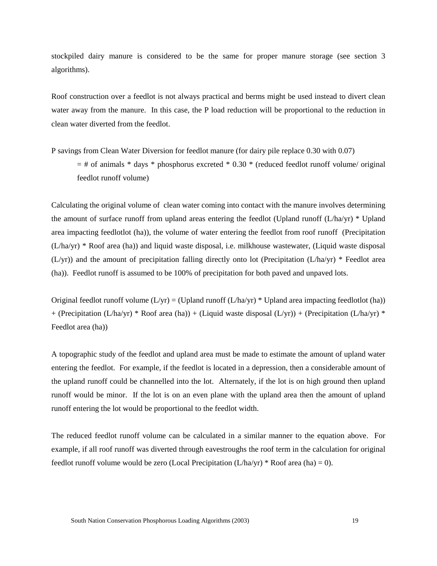stockpiled dairy manure is considered to be the same for proper manure storage (see section 3 algorithms).

Roof construction over a feedlot is not always practical and berms might be used instead to divert clean water away from the manure. In this case, the P load reduction will be proportional to the reduction in clean water diverted from the feedlot.

P savings from Clean Water Diversion for feedlot manure (for dairy pile replace 0.30 with 0.07)  $=$  # of animals \* days \* phosphorus excreted \* 0.30 \* (reduced feedlot runoff volume/ original feedlot runoff volume)

Calculating the original volume of clean water coming into contact with the manure involves determining the amount of surface runoff from upland areas entering the feedlot (Upland runoff  $(L/ha/yr)$ <sup>\*</sup> Upland area impacting feedlotlot (ha)), the volume of water entering the feedlot from roof runoff (Precipitation (L/ha/yr) \* Roof area (ha)) and liquid waste disposal, i.e. milkhouse wastewater, (Liquid waste disposal (L/yr)) and the amount of precipitation falling directly onto lot (Precipitation (L/ha/yr) \* Feedlot area (ha)). Feedlot runoff is assumed to be 100% of precipitation for both paved and unpaved lots.

Original feedlot runoff volume  $(L/yr) = (Upland runoff (L/ha/yr) * Upland area impacting feedlotlot (ha))$ + (Precipitation (L/ha/yr) \* Roof area (ha)) + (Liquid waste disposal (L/yr)) + (Precipitation (L/ha/yr) \* Feedlot area (ha))

A topographic study of the feedlot and upland area must be made to estimate the amount of upland water entering the feedlot. For example, if the feedlot is located in a depression, then a considerable amount of the upland runoff could be channelled into the lot. Alternately, if the lot is on high ground then upland runoff would be minor. If the lot is on an even plane with the upland area then the amount of upland runoff entering the lot would be proportional to the feedlot width.

The reduced feedlot runoff volume can be calculated in a similar manner to the equation above. For example, if all roof runoff was diverted through eavestroughs the roof term in the calculation for original feedlot runoff volume would be zero (Local Precipitation  $(L/ha/yr)$  \* Roof area (ha) = 0).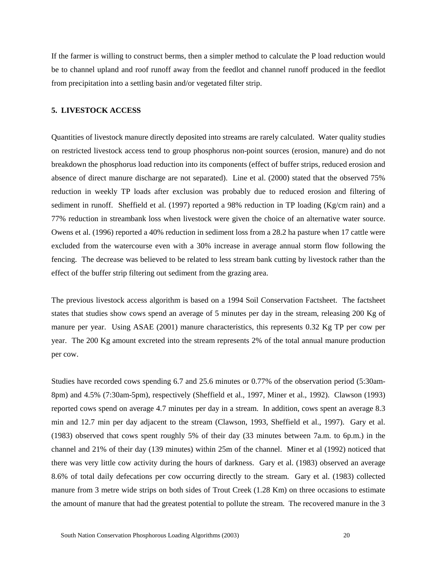If the farmer is willing to construct berms, then a simpler method to calculate the P load reduction would be to channel upland and roof runoff away from the feedlot and channel runoff produced in the feedlot from precipitation into a settling basin and/or vegetated filter strip.

## **5. LIVESTOCK ACCESS**

Quantities of livestock manure directly deposited into streams are rarely calculated. Water quality studies on restricted livestock access tend to group phosphorus non-point sources (erosion, manure) and do not breakdown the phosphorus load reduction into its components (effect of buffer strips, reduced erosion and absence of direct manure discharge are not separated). Line et al. (2000) stated that the observed 75% reduction in weekly TP loads after exclusion was probably due to reduced erosion and filtering of sediment in runoff. Sheffield et al. (1997) reported a 98% reduction in TP loading (Kg/cm rain) and a 77% reduction in streambank loss when livestock were given the choice of an alternative water source. Owens et al. (1996) reported a 40% reduction in sediment loss from a 28.2 ha pasture when 17 cattle were excluded from the watercourse even with a 30% increase in average annual storm flow following the fencing. The decrease was believed to be related to less stream bank cutting by livestock rather than the effect of the buffer strip filtering out sediment from the grazing area.

The previous livestock access algorithm is based on a 1994 Soil Conservation Factsheet. The factsheet states that studies show cows spend an average of 5 minutes per day in the stream, releasing 200 Kg of manure per year. Using ASAE (2001) manure characteristics, this represents 0.32 Kg TP per cow per year. The 200 Kg amount excreted into the stream represents 2% of the total annual manure production per cow.

Studies have recorded cows spending 6.7 and 25.6 minutes or 0.77% of the observation period (5:30am-8pm) and 4.5% (7:30am-5pm), respectively (Sheffield et al., 1997, Miner et al., 1992). Clawson (1993) reported cows spend on average 4.7 minutes per day in a stream. In addition, cows spent an average 8.3 min and 12.7 min per day adjacent to the stream (Clawson, 1993, Sheffield et al., 1997). Gary et al. (1983) observed that cows spent roughly 5% of their day (33 minutes between 7a.m. to 6p.m.) in the channel and 21% of their day (139 minutes) within 25m of the channel. Miner et al (1992) noticed that there was very little cow activity during the hours of darkness. Gary et al. (1983) observed an average 8.6% of total daily defecations per cow occurring directly to the stream. Gary et al. (1983) collected manure from 3 metre wide strips on both sides of Trout Creek (1.28 Km) on three occasions to estimate the amount of manure that had the greatest potential to pollute the stream. The recovered manure in the 3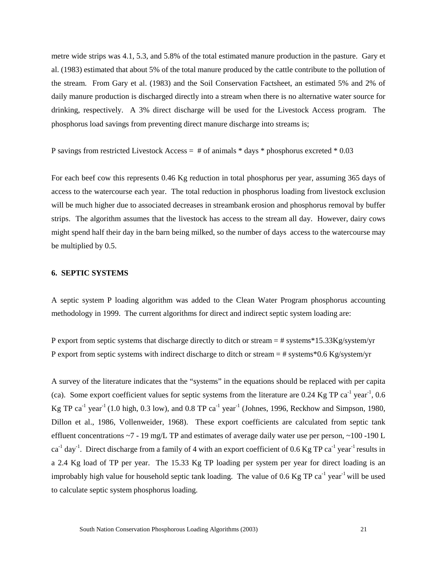metre wide strips was 4.1, 5.3, and 5.8% of the total estimated manure production in the pasture. Gary et al. (1983) estimated that about 5% of the total manure produced by the cattle contribute to the pollution of the stream. From Gary et al. (1983) and the Soil Conservation Factsheet, an estimated 5% and 2% of daily manure production is discharged directly into a stream when there is no alternative water source for drinking, respectively. A 3% direct discharge will be used for the Livestock Access program. The phosphorus load savings from preventing direct manure discharge into streams is;

P savings from restricted Livestock Access  $=$  # of animals  $*$  days  $*$  phosphorus excreted  $*$  0.03

For each beef cow this represents 0.46 Kg reduction in total phosphorus per year, assuming 365 days of access to the watercourse each year. The total reduction in phosphorus loading from livestock exclusion will be much higher due to associated decreases in streambank erosion and phosphorus removal by buffer strips. The algorithm assumes that the livestock has access to the stream all day. However, dairy cows might spend half their day in the barn being milked, so the number of days access to the watercourse may be multiplied by 0.5.

## **6. SEPTIC SYSTEMS**

A septic system P loading algorithm was added to the Clean Water Program phosphorus accounting methodology in 1999. The current algorithms for direct and indirect septic system loading are:

P export from septic systems that discharge directly to ditch or stream  $=$  # systems \*15.33Kg/system/yr P export from septic systems with indirect discharge to ditch or stream  $=$  # systems\*0.6 Kg/system/yr

A survey of the literature indicates that the "systems" in the equations should be replaced with per capita (ca). Some export coefficient values for septic systems from the literature are  $0.24$  Kg TP ca<sup>-1</sup> year<sup>-1</sup>,  $0.6$ Kg TP ca<sup>-1</sup> year<sup>-1</sup> (1.0 high, 0.3 low), and 0.8 TP ca<sup>-1</sup> year<sup>-1</sup> (Johnes, 1996, Reckhow and Simpson, 1980, Dillon et al., 1986, Vollenweider, 1968). These export coefficients are calculated from septic tank effluent concentrations  $\sim$  7 - 19 mg/L TP and estimates of average daily water use per person,  $\sim$ 100 -190 L  $ca^{-1}$  day<sup>-1</sup>. Direct discharge from a family of 4 with an export coefficient of 0.6 Kg TP  $ca^{-1}$  year<sup>-1</sup> results in a 2.4 Kg load of TP per year. The 15.33 Kg TP loading per system per year for direct loading is an improbably high value for household septic tank loading. The value of 0.6 Kg TP ca<sup>-1</sup> year<sup>-1</sup> will be used to calculate septic system phosphorus loading.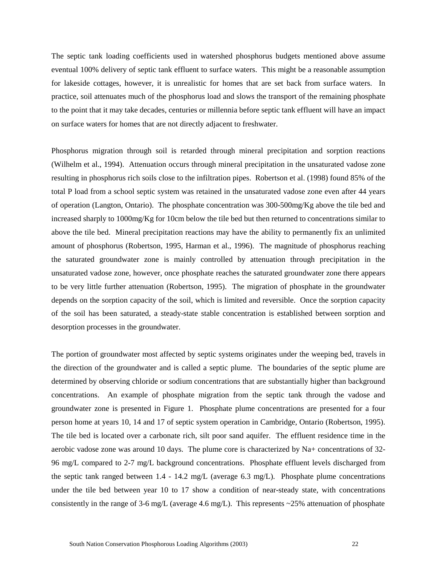The septic tank loading coefficients used in watershed phosphorus budgets mentioned above assume eventual 100% delivery of septic tank effluent to surface waters. This might be a reasonable assumption for lakeside cottages, however, it is unrealistic for homes that are set back from surface waters. In practice, soil attenuates much of the phosphorus load and slows the transport of the remaining phosphate to the point that it may take decades, centuries or millennia before septic tank effluent will have an impact on surface waters for homes that are not directly adjacent to freshwater.

Phosphorus migration through soil is retarded through mineral precipitation and sorption reactions (Wilhelm et al., 1994). Attenuation occurs through mineral precipitation in the unsaturated vadose zone resulting in phosphorus rich soils close to the infiltration pipes. Robertson et al. (1998) found 85% of the total P load from a school septic system was retained in the unsaturated vadose zone even after 44 years of operation (Langton, Ontario). The phosphate concentration was 300-500mg/Kg above the tile bed and increased sharply to 1000mg/Kg for 10cm below the tile bed but then returned to concentrations similar to above the tile bed. Mineral precipitation reactions may have the ability to permanently fix an unlimited amount of phosphorus (Robertson, 1995, Harman et al., 1996). The magnitude of phosphorus reaching the saturated groundwater zone is mainly controlled by attenuation through precipitation in the unsaturated vadose zone, however, once phosphate reaches the saturated groundwater zone there appears to be very little further attenuation (Robertson, 1995). The migration of phosphate in the groundwater depends on the sorption capacity of the soil, which is limited and reversible. Once the sorption capacity of the soil has been saturated, a steady-state stable concentration is established between sorption and desorption processes in the groundwater.

The portion of groundwater most affected by septic systems originates under the weeping bed, travels in the direction of the groundwater and is called a septic plume. The boundaries of the septic plume are determined by observing chloride or sodium concentrations that are substantially higher than background concentrations. An example of phosphate migration from the septic tank through the vadose and groundwater zone is presented in Figure 1. Phosphate plume concentrations are presented for a four person home at years 10, 14 and 17 of septic system operation in Cambridge, Ontario (Robertson, 1995). The tile bed is located over a carbonate rich, silt poor sand aquifer. The effluent residence time in the aerobic vadose zone was around 10 days. The plume core is characterized by Na+ concentrations of 32- 96 mg/L compared to 2-7 mg/L background concentrations. Phosphate effluent levels discharged from the septic tank ranged between 1.4 - 14.2 mg/L (average 6.3 mg/L). Phosphate plume concentrations under the tile bed between year 10 to 17 show a condition of near-steady state, with concentrations consistently in the range of 3-6 mg/L (average 4.6 mg/L). This represents  $\sim$ 25% attenuation of phosphate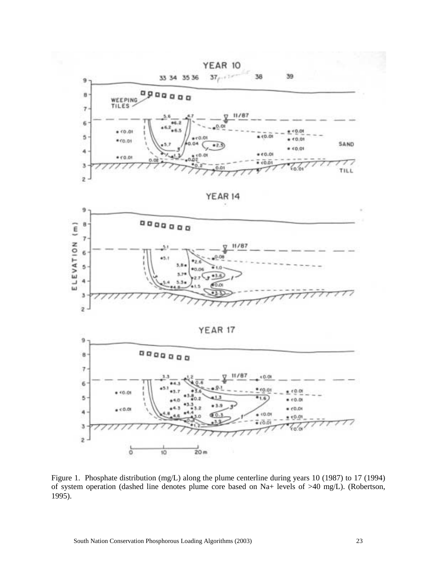

Figure 1. Phosphate distribution (mg/L) along the plume centerline during years 10 (1987) to 17 (1994) of system operation (dashed line denotes plume core based on Na+ levels of >40 mg/L). (Robertson, 1995).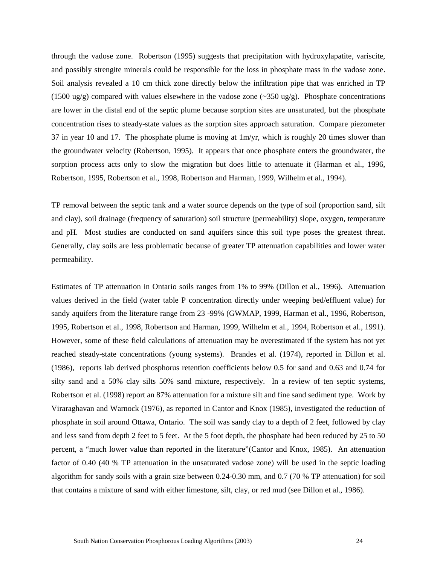through the vadose zone. Robertson (1995) suggests that precipitation with hydroxylapatite, variscite, and possibly strengite minerals could be responsible for the loss in phosphate mass in the vadose zone. Soil analysis revealed a 10 cm thick zone directly below the infiltration pipe that was enriched in TP (1500 ug/g) compared with values elsewhere in the vadose zone  $(\sim 350 \text{ ug/g})$ . Phosphate concentrations are lower in the distal end of the septic plume because sorption sites are unsaturated, but the phosphate concentration rises to steady-state values as the sorption sites approach saturation. Compare piezometer 37 in year 10 and 17. The phosphate plume is moving at 1m/yr, which is roughly 20 times slower than the groundwater velocity (Robertson, 1995). It appears that once phosphate enters the groundwater, the sorption process acts only to slow the migration but does little to attenuate it (Harman et al., 1996, Robertson, 1995, Robertson et al., 1998, Robertson and Harman, 1999, Wilhelm et al., 1994).

TP removal between the septic tank and a water source depends on the type of soil (proportion sand, silt and clay), soil drainage (frequency of saturation) soil structure (permeability) slope, oxygen, temperature and pH. Most studies are conducted on sand aquifers since this soil type poses the greatest threat. Generally, clay soils are less problematic because of greater TP attenuation capabilities and lower water permeability.

Estimates of TP attenuation in Ontario soils ranges from 1% to 99% (Dillon et al., 1996). Attenuation values derived in the field (water table P concentration directly under weeping bed/effluent value) for sandy aquifers from the literature range from 23 -99% (GWMAP, 1999, Harman et al., 1996, Robertson, 1995, Robertson et al., 1998, Robertson and Harman, 1999, Wilhelm et al., 1994, Robertson et al., 1991). However, some of these field calculations of attenuation may be overestimated if the system has not yet reached steady-state concentrations (young systems). Brandes et al. (1974), reported in Dillon et al. (1986), reports lab derived phosphorus retention coefficients below 0.5 for sand and 0.63 and 0.74 for silty sand and a 50% clay silts 50% sand mixture, respectively. In a review of ten septic systems, Robertson et al. (1998) report an 87% attenuation for a mixture silt and fine sand sediment type. Work by Viraraghavan and Warnock (1976), as reported in Cantor and Knox (1985), investigated the reduction of phosphate in soil around Ottawa, Ontario. The soil was sandy clay to a depth of 2 feet, followed by clay and less sand from depth 2 feet to 5 feet. At the 5 foot depth, the phosphate had been reduced by 25 to 50 percent, a "much lower value than reported in the literature"(Cantor and Knox, 1985). An attenuation factor of 0.40 (40 % TP attenuation in the unsaturated vadose zone) will be used in the septic loading algorithm for sandy soils with a grain size between 0.24-0.30 mm, and 0.7 (70 % TP attenuation) for soil that contains a mixture of sand with either limestone, silt, clay, or red mud (see Dillon et al., 1986).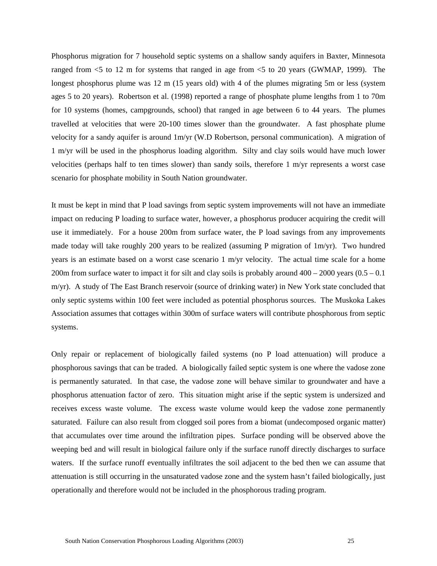Phosphorus migration for 7 household septic systems on a shallow sandy aquifers in Baxter, Minnesota ranged from <5 to 12 m for systems that ranged in age from <5 to 20 years (GWMAP, 1999). The longest phosphorus plume was 12 m (15 years old) with 4 of the plumes migrating 5m or less (system ages 5 to 20 years). Robertson et al. (1998) reported a range of phosphate plume lengths from 1 to 70m for 10 systems (homes, campgrounds, school) that ranged in age between 6 to 44 years. The plumes travelled at velocities that were 20-100 times slower than the groundwater. A fast phosphate plume velocity for a sandy aquifer is around 1m/yr (W.D Robertson, personal communication). A migration of 1 m/yr will be used in the phosphorus loading algorithm. Silty and clay soils would have much lower velocities (perhaps half to ten times slower) than sandy soils, therefore 1 m/yr represents a worst case scenario for phosphate mobility in South Nation groundwater.

It must be kept in mind that P load savings from septic system improvements will not have an immediate impact on reducing P loading to surface water, however, a phosphorus producer acquiring the credit will use it immediately. For a house 200m from surface water, the P load savings from any improvements made today will take roughly 200 years to be realized (assuming P migration of 1m/yr). Two hundred years is an estimate based on a worst case scenario 1 m/yr velocity. The actual time scale for a home 200m from surface water to impact it for silt and clay soils is probably around  $400 - 2000$  years  $(0.5 - 0.1)$ m/yr). A study of The East Branch reservoir (source of drinking water) in New York state concluded that only septic systems within 100 feet were included as potential phosphorus sources. The Muskoka Lakes Association assumes that cottages within 300m of surface waters will contribute phosphorous from septic systems.

Only repair or replacement of biologically failed systems (no P load attenuation) will produce a phosphorous savings that can be traded. A biologically failed septic system is one where the vadose zone is permanently saturated. In that case, the vadose zone will behave similar to groundwater and have a phosphorus attenuation factor of zero. This situation might arise if the septic system is undersized and receives excess waste volume. The excess waste volume would keep the vadose zone permanently saturated. Failure can also result from clogged soil pores from a biomat (undecomposed organic matter) that accumulates over time around the infiltration pipes. Surface ponding will be observed above the weeping bed and will result in biological failure only if the surface runoff directly discharges to surface waters. If the surface runoff eventually infiltrates the soil adjacent to the bed then we can assume that attenuation is still occurring in the unsaturated vadose zone and the system hasn't failed biologically, just operationally and therefore would not be included in the phosphorous trading program.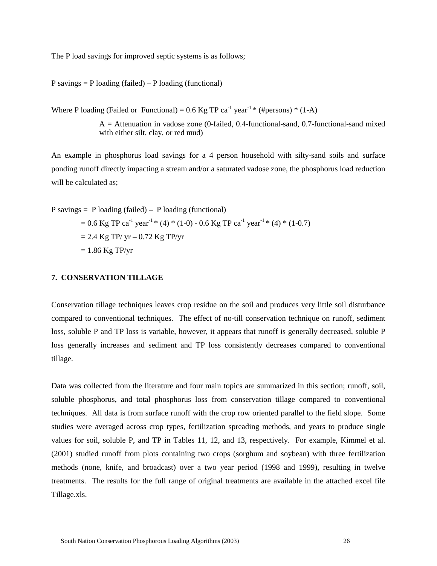The P load savings for improved septic systems is as follows;

 $P$  savings =  $P$  loading (failed) –  $P$  loading (functional)

Where P loading (Failed or Functional) =  $0.6$  Kg TP ca<sup>-1</sup> year<sup>-1</sup> \* (#persons) \* (1-A)

 $A =$  Attenuation in vadose zone (0-failed, 0.4-functional-sand, 0.7-functional-sand mixed with either silt, clay, or red mud)

An example in phosphorus load savings for a 4 person household with silty-sand soils and surface ponding runoff directly impacting a stream and/or a saturated vadose zone, the phosphorus load reduction will be calculated as:

P savings = P loading (failed) – P loading (functional) = 0.6 Kg TP ca-1 year -1 \* (4) \* (1-0) - 0.6 Kg TP ca-1 year -1 \* (4) \* (1-0.7) = 2.4 Kg TP/ yr – 0.72 Kg TP/yr = 1.86 Kg TP/yr

## **7. CONSERVATION TILLAGE**

Conservation tillage techniques leaves crop residue on the soil and produces very little soil disturbance compared to conventional techniques. The effect of no-till conservation technique on runoff, sediment loss, soluble P and TP loss is variable, however, it appears that runoff is generally decreased, soluble P loss generally increases and sediment and TP loss consistently decreases compared to conventional tillage.

Data was collected from the literature and four main topics are summarized in this section; runoff, soil, soluble phosphorus, and total phosphorus loss from conservation tillage compared to conventional techniques. All data is from surface runoff with the crop row oriented parallel to the field slope. Some studies were averaged across crop types, fertilization spreading methods, and years to produce single values for soil, soluble P, and TP in Tables 11, 12, and 13, respectively. For example, Kimmel et al. (2001) studied runoff from plots containing two crops (sorghum and soybean) with three fertilization methods (none, knife, and broadcast) over a two year period (1998 and 1999), resulting in twelve treatments. The results for the full range of original treatments are available in the attached excel file Tillage.xls.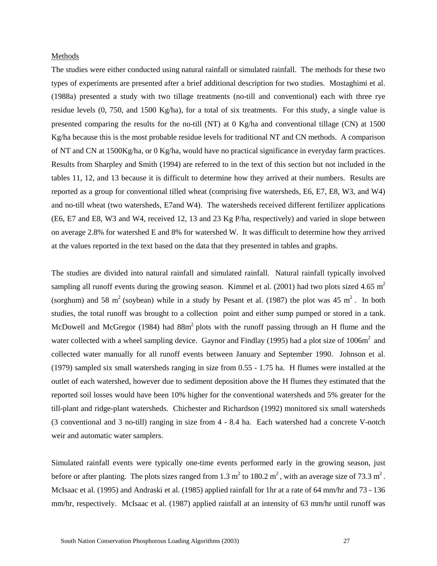#### Methods

The studies were either conducted using natural rainfall or simulated rainfall. The methods for these two types of experiments are presented after a brief additional description for two studies. Mostaghimi et al. (1988a) presented a study with two tillage treatments (no-till and conventional) each with three rye residue levels (0, 750, and 1500 Kg/ha), for a total of six treatments. For this study, a single value is presented comparing the results for the no-till (NT) at 0 Kg/ha and conventional tillage (CN) at 1500 Kg/ha because this is the most probable residue levels for traditional NT and CN methods. A comparison of NT and CN at  $1500Kg/ha$ , or  $0 Kg/ha$ , would have no practical significance in everyday farm practices. Results from Sharpley and Smith (1994) are referred to in the text of this section but not included in the tables 11, 12, and 13 because it is difficult to determine how they arrived at their numbers. Results are reported as a group for conventional tilled wheat (comprising five watersheds, E6, E7, E8, W3, and W4) and no-till wheat (two watersheds, E7and W4). The watersheds received different fertilizer applications (E6, E7 and E8, W3 and W4, received 12, 13 and 23 Kg P/ha, respectively) and varied in slope between on average 2.8% for watershed E and 8% for watershed W. It was difficult to determine how they arrived at the values reported in the text based on the data that they presented in tables and graphs.

The studies are divided into natural rainfall and simulated rainfall. Natural rainfall typically involved sampling all runoff events during the growing season. Kimmel et al. (2001) had two plots sized 4.65  $m<sup>2</sup>$ (sorghum) and 58 m<sup>2</sup> (soybean) while in a study by Pesant et al. (1987) the plot was 45 m<sup>2</sup>. In both studies, the total runoff was brought to a collection point and either sump pumped or stored in a tank. McDowell and McGregor (1984) had  $88m^2$  plots with the runoff passing through an H flume and the water collected with a wheel sampling device. Gaynor and Findlay (1995) had a plot size of 1006m<sup>2</sup> and collected water manually for all runoff events between January and September 1990. Johnson et al. (1979) sampled six small watersheds ranging in size from 0.55 - 1.75 ha. H flumes were installed at the outlet of each watershed, however due to sediment deposition above the H flumes they estimated that the reported soil losses would have been 10% higher for the conventional watersheds and 5% greater for the till-plant and ridge-plant watersheds. Chichester and Richardson (1992) monitored six small watersheds (3 conventional and 3 no-till) ranging in size from 4 - 8.4 ha. Each watershed had a concrete V-notch weir and automatic water samplers.

Simulated rainfall events were typically one-time events performed early in the growing season, just before or after planting. The plots sizes ranged from 1.3  $m^2$  to 180.2  $m^2$ , with an average size of 73.3  $m^2$ . McIsaac et al. (1995) and Andraski et al. (1985) applied rainfall for 1hr at a rate of 64 mm/hr and 73 - 136 mm/hr, respectively. McIsaac et al. (1987) applied rainfall at an intensity of 63 mm/hr until runoff was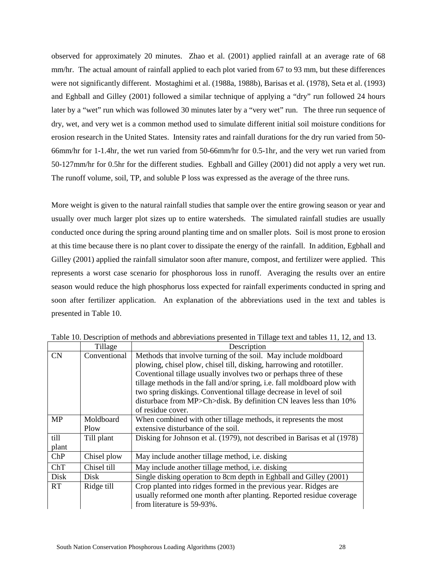observed for approximately 20 minutes. Zhao et al. (2001) applied rainfall at an average rate of 68 mm/hr. The actual amount of rainfall applied to each plot varied from 67 to 93 mm, but these differences were not significantly different. Mostaghimi et al. (1988a, 1988b), Barisas et al. (1978), Seta et al. (1993) and Eghball and Gilley (2001) followed a similar technique of applying a "dry" run followed 24 hours later by a "wet" run which was followed 30 minutes later by a "very wet" run. The three run sequence of dry, wet, and very wet is a common method used to simulate different initial soil moisture conditions for erosion research in the United States. Intensity rates and rainfall durations for the dry run varied from 50- 66mm/hr for 1-1.4hr, the wet run varied from 50-66mm/hr for 0.5-1hr, and the very wet run varied from 50-127mm/hr for 0.5hr for the different studies. Eghball and Gilley (2001) did not apply a very wet run. The runoff volume, soil, TP, and soluble P loss was expressed as the average of the three runs.

More weight is given to the natural rainfall studies that sample over the entire growing season or year and usually over much larger plot sizes up to entire watersheds. The simulated rainfall studies are usually conducted once during the spring around planting time and on smaller plots. Soil is most prone to erosion at this time because there is no plant cover to dissipate the energy of the rainfall. In addition, Egbhall and Gilley (2001) applied the rainfall simulator soon after manure, compost, and fertilizer were applied. This represents a worst case scenario for phosphorous loss in runoff. Averaging the results over an entire season would reduce the high phosphorus loss expected for rainfall experiments conducted in spring and soon after fertilizer application. An explanation of the abbreviations used in the text and tables is presented in Table 10.

|           | Tillage      | Description                                                                                                                                                            |
|-----------|--------------|------------------------------------------------------------------------------------------------------------------------------------------------------------------------|
| CN        | Conventional | Methods that involve turning of the soil. May include moldboard                                                                                                        |
|           |              | plowing, chisel plow, chisel till, disking, harrowing and rototiller.                                                                                                  |
|           |              | Coventional tillage usually involves two or perhaps three of these                                                                                                     |
|           |              | tillage methods in the fall and/or spring, i.e. fall moldboard plow with                                                                                               |
|           |              | two spring diskings. Conventional tillage decrease in level of soil                                                                                                    |
|           |              | disturbace from MP>Ch>disk. By definition CN leaves less than 10%                                                                                                      |
|           |              | of residue cover.                                                                                                                                                      |
| <b>MP</b> | Moldboard    | When combined with other tillage methods, it represents the most                                                                                                       |
|           | Plow         | extensive disturbance of the soil.                                                                                                                                     |
| till      | Till plant   | Disking for Johnson et al. (1979), not described in Barisas et al (1978)                                                                                               |
| plant     |              |                                                                                                                                                                        |
| ChP       | Chisel plow  | May include another tillage method, i.e. disking                                                                                                                       |
| ChT       | Chisel till  | May include another tillage method, i.e. disking                                                                                                                       |
| Disk      | <b>Disk</b>  | Single disking operation to 8cm depth in Eghball and Gilley (2001)                                                                                                     |
| <b>RT</b> | Ridge till   | Crop planted into ridges formed in the previous year. Ridges are<br>usually reformed one month after planting. Reported residue coverage<br>from literature is 59-93%. |

Table 10. Description of methods and abbreviations presented in Tillage text and tables 11, 12, and 13.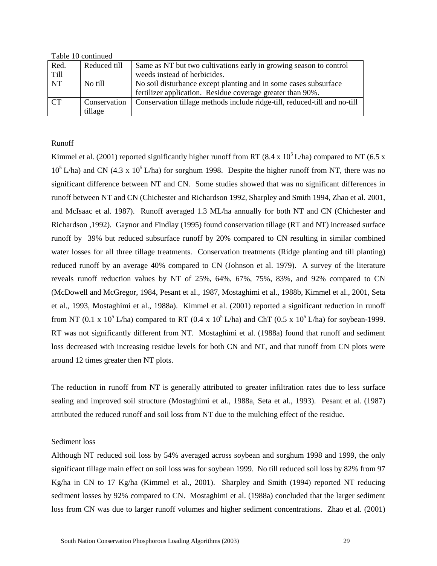Table 10 continued

| Red.        | Reduced till | Same as NT but two cultivations early in growing season to control        |
|-------------|--------------|---------------------------------------------------------------------------|
| <b>Till</b> |              | weeds instead of herbicides.                                              |
| <b>NT</b>   | No till      | No soil disturbance except planting and in some cases subsurface          |
|             |              | fertilizer application. Residue coverage greater than 90%.                |
| CT          | Conservation | Conservation tillage methods include ridge-till, reduced-till and no-till |
|             | tillage      |                                                                           |

## Runoff

Kimmel et al. (2001) reported significantly higher runoff from RT (8.4 x 10<sup>5</sup> L/ha) compared to NT (6.5 x  $10^5$  L/ha) and CN (4.3 x  $10^5$  L/ha) for sorghum 1998. Despite the higher runoff from NT, there was no significant difference between NT and CN. Some studies showed that was no significant differences in runoff between NT and CN (Chichester and Richardson 1992, Sharpley and Smith 1994, Zhao et al. 2001, and McIsaac et al. 1987). Runoff averaged 1.3 ML/ha annually for both NT and CN (Chichester and Richardson ,1992). Gaynor and Findlay (1995) found conservation tillage (RT and NT) increased surface runoff by 39% but reduced subsurface runoff by 20% compared to CN resulting in similar combined water losses for all three tillage treatments. Conservation treatments (Ridge planting and till planting) reduced runoff by an average 40% compared to CN (Johnson et al. 1979). A survey of the literature reveals runoff reduction values by NT of 25%, 64%, 67%, 75%, 83%, and 92% compared to CN (McDowell and McGregor, 1984, Pesant et al., 1987, Mostaghimi et al., 1988b, Kimmel et al., 2001, Seta et al., 1993, Mostaghimi et al., 1988a). Kimmel et al. (2001) reported a significant reduction in runoff from NT (0.1 x  $10^5$  L/ha) compared to RT (0.4 x  $10^5$  L/ha) and ChT (0.5 x  $10^5$  L/ha) for soybean-1999. RT was not significantly different from NT. Mostaghimi et al. (1988a) found that runoff and sediment loss decreased with increasing residue levels for both CN and NT, and that runoff from CN plots were around 12 times greater then NT plots.

The reduction in runoff from NT is generally attributed to greater infiltration rates due to less surface sealing and improved soil structure (Mostaghimi et al., 1988a, Seta et al., 1993). Pesant et al. (1987) attributed the reduced runoff and soil loss from NT due to the mulching effect of the residue.

## Sediment loss

Although NT reduced soil loss by 54% averaged across soybean and sorghum 1998 and 1999, the only significant tillage main effect on soil loss was for soybean 1999. No till reduced soil loss by 82% from 97 Kg/ha in CN to 17 Kg/ha (Kimmel et al., 2001). Sharpley and Smith (1994) reported NT reducing sediment losses by 92% compared to CN. Mostaghimi et al. (1988a) concluded that the larger sediment loss from CN was due to larger runoff volumes and higher sediment concentrations. Zhao et al. (2001)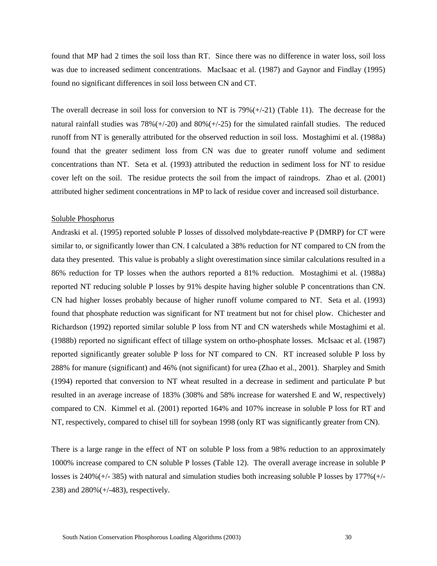found that MP had 2 times the soil loss than RT. Since there was no difference in water loss, soil loss was due to increased sediment concentrations. MacIsaac et al. (1987) and Gaynor and Findlay (1995) found no significant differences in soil loss between CN and CT.

The overall decrease in soil loss for conversion to NT is  $79\%(+21)$  (Table 11). The decrease for the natural rainfall studies was  $78\%(+/-20)$  and  $80\%(+/-25)$  for the simulated rainfall studies. The reduced runoff from NT is generally attributed for the observed reduction in soil loss. Mostaghimi et al. (1988a) found that the greater sediment loss from CN was due to greater runoff volume and sediment concentrations than NT. Seta et al. (1993) attributed the reduction in sediment loss for NT to residue cover left on the soil. The residue protects the soil from the impact of raindrops. Zhao et al. (2001) attributed higher sediment concentrations in MP to lack of residue cover and increased soil disturbance.

#### Soluble Phosphorus

Andraski et al. (1995) reported soluble P losses of dissolved molybdate-reactive P (DMRP) for CT were similar to, or significantly lower than CN. I calculated a 38% reduction for NT compared to CN from the data they presented. This value is probably a slight overestimation since similar calculations resulted in a 86% reduction for TP losses when the authors reported a 81% reduction. Mostaghimi et al. (1988a) reported NT reducing soluble P losses by 91% despite having higher soluble P concentrations than CN. CN had higher losses probably because of higher runoff volume compared to NT. Seta et al. (1993) found that phosphate reduction was significant for NT treatment but not for chisel plow. Chichester and Richardson (1992) reported similar soluble P loss from NT and CN watersheds while Mostaghimi et al. (1988b) reported no significant effect of tillage system on ortho-phosphate losses. McIsaac et al. (1987) reported significantly greater soluble P loss for NT compared to CN. RT increased soluble P loss by 288% for manure (significant) and 46% (not significant) for urea (Zhao et al., 2001). Sharpley and Smith (1994) reported that conversion to NT wheat resulted in a decrease in sediment and particulate P but resulted in an average increase of 183% (308% and 58% increase for watershed E and W, respectively) compared to CN. Kimmel et al. (2001) reported 164% and 107% increase in soluble P loss for RT and NT, respectively, compared to chisel till for soybean 1998 (only RT was significantly greater from CN).

There is a large range in the effect of NT on soluble P loss from a 98% reduction to an approximately 1000% increase compared to CN soluble P losses (Table 12). The overall average increase in soluble P losses is 240%(+/- 385) with natural and simulation studies both increasing soluble P losses by 177%(+/- 238) and 280%(+/-483), respectively.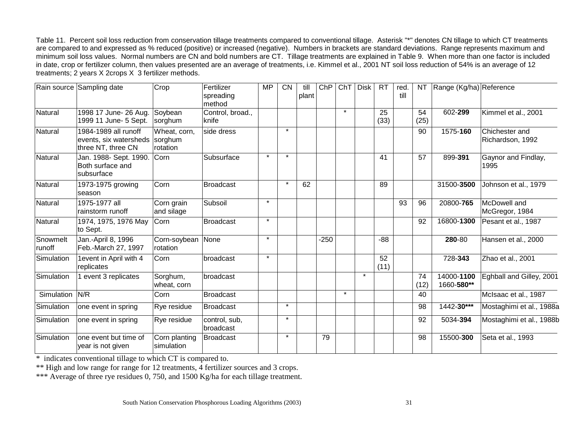Table 11. Percent soil loss reduction from conservation tillage treatments compared to conventional tillage. Asterisk "\*" denotes CN tillage to which CT treatments are compared to and expressed as % reduced (positive) or increased (negative). Numbers in brackets are standard deviations. Range represents maximum and minimum soil loss values. Normal numbers are CN and bold numbers are CT. Tillage treatments are explained in Table 9. When more than one factor is included in date, crop or fertilizer column, then values presented are an average of treatments, i.e. Kimmel et al., 2001 NT soil loss reduction of 54% is an average of 12 treatments; 2 years X 2crops X 3 fertilizer methods.

|                    | Rain source Sampling date                                                    | Crop                          | Fertilizer<br>spreading<br>method | <b>MP</b> | <b>CN</b> | till<br>plant | ChP    | ChT     | <b>Disk</b> | <b>RT</b>  | red.<br>till | NT         | Range (Kg/ha) Reference  |                                    |
|--------------------|------------------------------------------------------------------------------|-------------------------------|-----------------------------------|-----------|-----------|---------------|--------|---------|-------------|------------|--------------|------------|--------------------------|------------------------------------|
| Natural            | 1998 17 June- 26 Aug.<br>1999 11 June- 5 Sept.                               | Soybean<br>sorghum            | Control, broad.,<br>knife         |           |           |               |        | $\star$ |             | 25<br>(33) |              | 54<br>(25) | 602-299                  | Kimmel et al., 2001                |
| Natural            | 1984-1989 all runoff<br>events, six watersheds sorghum<br>three NT, three CN | Wheat, corn,<br>rotation      | side dress                        |           | $\star$   |               |        |         |             |            |              | 90         | 1575-160                 | Chichester and<br>Richardson, 1992 |
| Natural            | Jan. 1988- Sept. 1990.<br>Both surface and<br>subsurface                     | Corn                          | Subsurface                        |           | $\star$   |               |        |         |             | 41         |              | 57         | 899-391                  | Gaynor and Findlay,<br>1995        |
| <b>Natural</b>     | 1973-1975 growing<br>season                                                  | Corn                          | <b>Broadcast</b>                  |           | $\star$   | 62            |        |         |             | 89         |              |            | 31500-3500               | Johnson et al., 1979               |
| Natural            | 1975-1977 all<br>rainstorm runoff                                            | Corn grain<br>and silage      | Subsoil                           | $\star$   |           |               |        |         |             |            | 93           | 96         | 20800-765                | McDowell and<br>McGregor, 1984     |
| Natural            | 1974, 1975, 1976 May<br>to Sept.                                             | Corn                          | <b>Broadcast</b>                  | $\star$   |           |               |        |         |             |            |              | 92         | 16800-1300               | Pesant et al., 1987                |
| Snowmelt<br>runoff | Jan.-April 8, 1996<br>Feb.-March 27, 1997                                    | Corn-soybean None<br>rotation |                                   | $\star$   |           |               | $-250$ |         |             | $-88$      |              |            | 280-80                   | Hansen et al., 2000                |
| Simulation         | 1event in April with 4<br>replicates                                         | Corn                          | broadcast                         | $\star$   |           |               |        |         |             | 52<br>(11) |              |            | 728-343                  | Zhao et al., 2001                  |
| Simulation         | 1 event 3 replicates                                                         | Sorghum,<br>wheat, corn       | broadcast                         |           |           |               |        |         | $\star$     |            |              | 74<br>(12) | 14000-1100<br>1660-580** | Eghball and Gilley, 2001           |
| Simulation         | N/R                                                                          | Corn                          | <b>Broadcast</b>                  |           |           |               |        | $\star$ |             |            |              | 40         |                          | McIsaac et al., 1987               |
| Simulation         | one event in spring                                                          | Rye residue                   | Broadcast                         |           | $\star$   |               |        |         |             |            |              | 98         | 1442-30***               | Mostaghimi et al., 1988a           |
| Simulation         | one event in spring                                                          | Rye residue                   | control, sub,<br>broadcast        |           | $\star$   |               |        |         |             |            |              | 92         | 5034-394                 | Mostaghimi et al., 1988b           |
| Simulation         | one event but time of<br>year is not given                                   | Corn planting<br>simulation   | Broadcast                         |           | $\star$   |               | 79     |         |             |            |              | 98         | 15500-300                | Seta et al., 1993                  |

\* indicates conventional tillage to which CT is compared to.

\*\* High and low range for range for 12 treatments, 4 fertilizer sources and 3 crops.

\*\*\* Average of three rye residues 0, 750, and 1500 Kg/ha for each tillage treatment.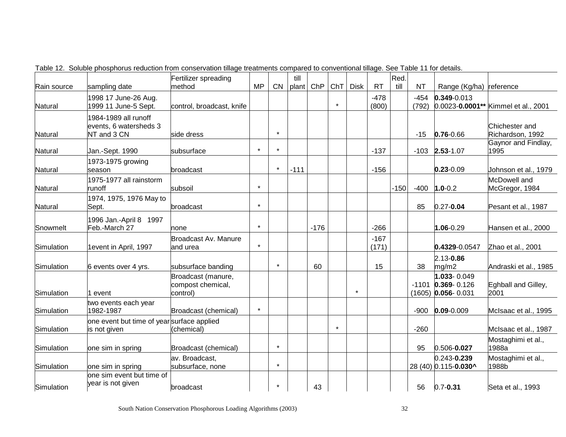| Rain source | sampling date                                                 | Fertilizer spreading<br>method                      | <b>MP</b> | CN      | till<br>plant | ChP    | ChT     | <b>Disk</b> | <b>RT</b>       | Red.<br>till | <b>NT</b>       | Range (Kg/ha) reference                                     |                                     |
|-------------|---------------------------------------------------------------|-----------------------------------------------------|-----------|---------|---------------|--------|---------|-------------|-----------------|--------------|-----------------|-------------------------------------------------------------|-------------------------------------|
| Natural     | 1998 17 June-26 Aug.<br>1999 11 June-5 Sept.                  | control, broadcast, knife                           |           |         |               |        | $\star$ |             | $-478$<br>(800) |              | $-454$<br>(792) | $0.349 - 0.013$                                             | 0.0023-0.0001** Kimmel et al., 2001 |
| Natural     | 1984-1989 all runoff<br>events, 6 watersheds 3<br>NT and 3 CN | side dress                                          |           | $\star$ |               |        |         |             |                 |              | $-15$           | $0.76 - 0.66$                                               | Chichester and<br>Richardson, 1992  |
| Natural     | Jan.-Sept. 1990                                               | subsurface                                          | $\star$   | $\star$ |               |        |         |             | $-137$          |              | $-103$          | $2.53 - 1.07$                                               | Gaynor and Findlay,<br>1995         |
| Natural     | 1973-1975 growing<br>season                                   | broadcast                                           |           | $\star$ | $-111$        |        |         |             | $-156$          |              |                 | $0.23 - 0.09$                                               | Johnson et al., 1979                |
| Natural     | 1975-1977 all rainstorm<br>runoff                             | subsoil                                             | $\star$   |         |               |        |         |             |                 | $-150$       | $-400$          | $1.0 - 0.2$                                                 | McDowell and<br>McGregor, 1984      |
| Natural     | 1974, 1975, 1976 May to<br>Sept.                              | broadcast                                           | $\star$   |         |               |        |         |             |                 |              | 85              | $0.27 - 0.04$                                               | Pesant et al., 1987                 |
| Snowmelt    | 1996 Jan.-April 8 1997<br>Feb.-March 27                       | none                                                | $\star$   |         |               | $-176$ |         |             | $-266$          |              |                 | $1.06 - 0.29$                                               | Hansen et al., 2000                 |
| Simulation  | 1event in April, 1997                                         | <b>Broadcast Av. Manure</b><br>and urea             | $\star$   |         |               |        |         |             | $-167$<br>(171) |              |                 | 0.4329-0.0547                                               | Zhao et al., 2001                   |
| Simulation  | 6 events over 4 yrs.                                          | subsurface banding                                  |           | $\star$ |               | 60     |         |             | 15              |              | 38              | 2.13-0.86<br>mg/m2                                          | Andraski et al., 1985               |
| Simulation  | event                                                         | Broadcast (manure,<br>compost chemical,<br>control) |           |         |               |        |         | $\star$     |                 |              |                 | 1.033-0.049<br>$-1101$ 0.369-0.126<br>$(1605)$ 0.056- 0.031 | Eghball and Gilley,<br>2001         |
| Simulation  | two events each year<br>1982-1987                             | Broadcast (chemical)                                | $\star$   |         |               |        |         |             |                 |              | $-900$          | $0.09 - 0.009$                                              | McIsaac et al., 1995                |
| Simulation  | one event but time of year surface applied<br>is not given    | (chemical)                                          |           |         |               |        | $\star$ |             |                 |              | $-260$          |                                                             | McIsaac et al., 1987                |
| Simulation  | one sim in spring                                             | Broadcast (chemical)                                |           | $\star$ |               |        |         |             |                 |              | 95              | 0.506-0.027                                                 | Mostaghimi et al.,<br>1988a         |
| Simulation  | one sim in spring                                             | av. Broadcast,<br>subsurface, none                  |           | $\star$ |               |        |         |             |                 |              |                 | 0.243-0.239<br>28 (40) 0.115-0.030^                         | Mostaghimi et al.,<br>1988b         |
| Simulation  | one sim event but time of<br>year is not given                | broadcast                                           |           |         |               | 43     |         |             |                 |              | 56              | $0.7 - 0.31$                                                | Seta et al., 1993                   |

Table 12. Soluble phosphorus reduction from conservation tillage treatments compared to conventional tillage. See Table 11 for details.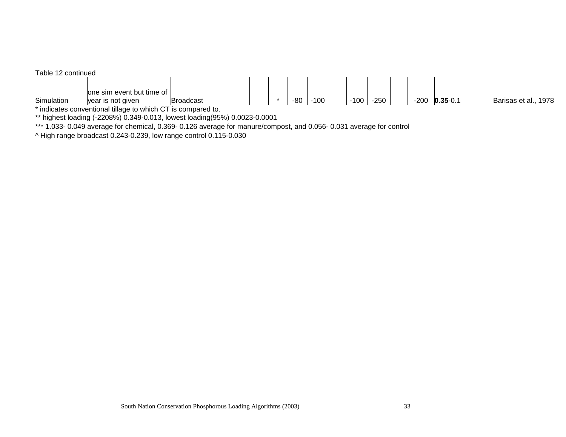#### Table 12 continued

|            | lone sim event but time of |                  |  |     |            |        |        |        |              |                      |
|------------|----------------------------|------------------|--|-----|------------|--------|--------|--------|--------------|----------------------|
| Simulation | vear is not given          | <b>Broadcast</b> |  | -80 | 100<br>טטו | $-100$ | $-250$ | $-200$ | $0.35 - 0.1$ | Barisas et al., 1978 |

\* indicates conventional tillage to which CT is compared to.

\*\* highest loading (-2208%) 0.349-0.013, lowest loading(95%) 0.0023-0.0001

\*\*\* 1.033- 0.049 average for chemical, 0.369- 0.126 average for manure/compost, and 0.056- 0.031 average for control

^ High range broadcast 0.243-0.239, low range control 0.115-0.030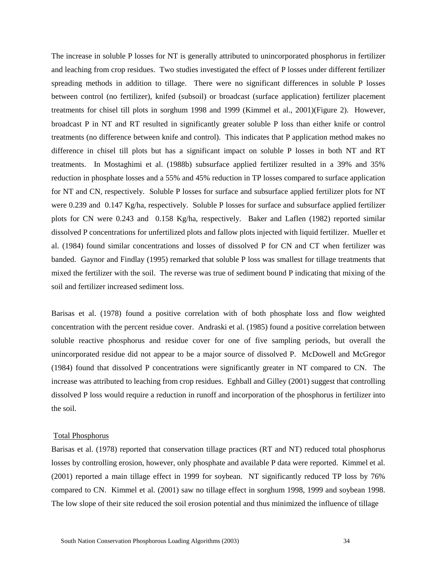The increase in soluble P losses for NT is generally attributed to unincorporated phosphorus in fertilizer and leaching from crop residues. Two studies investigated the effect of P losses under different fertilizer spreading methods in addition to tillage. There were no significant differences in soluble P losses between control (no fertilizer), knifed (subsoil) or broadcast (surface application) fertilizer placement treatments for chisel till plots in sorghum 1998 and 1999 (Kimmel et al., 2001)(Figure 2). However, broadcast P in NT and RT resulted in significantly greater soluble P loss than either knife or control treatments (no difference between knife and control). This indicates that P application method makes no difference in chisel till plots but has a significant impact on soluble P losses in both NT and RT treatments. In Mostaghimi et al. (1988b) subsurface applied fertilizer resulted in a 39% and 35% reduction in phosphate losses and a 55% and 45% reduction in TP losses compared to surface application for NT and CN, respectively. Soluble P losses for surface and subsurface applied fertilizer plots for NT were 0.239 and 0.147 Kg/ha, respectively. Soluble P losses for surface and subsurface applied fertilizer plots for CN were 0.243 and 0.158 Kg/ha, respectively. Baker and Laflen (1982) reported similar dissolved P concentrations for unfertilized plots and fallow plots injected with liquid fertilizer. Mueller et al. (1984) found similar concentrations and losses of dissolved P for CN and CT when fertilizer was banded. Gaynor and Findlay (1995) remarked that soluble P loss was smallest for tillage treatments that mixed the fertilizer with the soil. The reverse was true of sediment bound P indicating that mixing of the soil and fertilizer increased sediment loss.

Barisas et al. (1978) found a positive correlation with of both phosphate loss and flow weighted concentration with the percent residue cover. Andraski et al. (1985) found a positive correlation between soluble reactive phosphorus and residue cover for one of five sampling periods, but overall the unincorporated residue did not appear to be a major source of dissolved P. McDowell and McGregor (1984) found that dissolved P concentrations were significantly greater in NT compared to CN. The increase was attributed to leaching from crop residues. Eghball and Gilley (2001) suggest that controlling dissolved P loss would require a reduction in runoff and incorporation of the phosphorus in fertilizer into the soil.

## Total Phosphorus

Barisas et al. (1978) reported that conservation tillage practices (RT and NT) reduced total phosphorus losses by controlling erosion, however, only phosphate and available P data were reported. Kimmel et al. (2001) reported a main tillage effect in 1999 for soybean. NT significantly reduced TP loss by 76% compared to CN. Kimmel et al. (2001) saw no tillage effect in sorghum 1998, 1999 and soybean 1998. The low slope of their site reduced the soil erosion potential and thus minimized the influence of tillage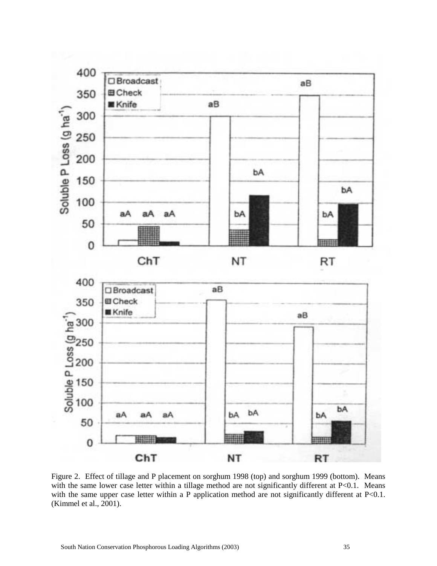

Figure 2. Effect of tillage and P placement on sorghum 1998 (top) and sorghum 1999 (bottom). Means with the same lower case letter within a tillage method are not significantly different at P<0.1. Means with the same upper case letter within a P application method are not significantly different at P<0.1. (Kimmel et al., 2001).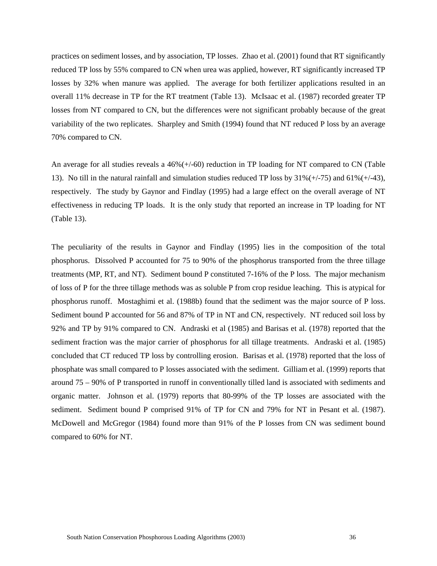practices on sediment losses, and by association, TP losses. Zhao et al. (2001) found that RT significantly reduced TP loss by 55% compared to CN when urea was applied, however, RT significantly increased TP losses by 32% when manure was applied. The average for both fertilizer applications resulted in an overall 11% decrease in TP for the RT treatment (Table 13). McIsaac et al. (1987) recorded greater TP losses from NT compared to CN, but the differences were not significant probably because of the great variability of the two replicates. Sharpley and Smith (1994) found that NT reduced P loss by an average 70% compared to CN.

An average for all studies reveals a 46%(+/-60) reduction in TP loading for NT compared to CN (Table 13). No till in the natural rainfall and simulation studies reduced TP loss by  $31\%(+75)$  and  $61\%(+43)$ , respectively. The study by Gaynor and Findlay (1995) had a large effect on the overall average of NT effectiveness in reducing TP loads. It is the only study that reported an increase in TP loading for NT (Table 13).

The peculiarity of the results in Gaynor and Findlay (1995) lies in the composition of the total phosphorus. Dissolved P accounted for 75 to 90% of the phosphorus transported from the three tillage treatments (MP, RT, and NT). Sediment bound P constituted 7-16% of the P loss. The major mechanism of loss of P for the three tillage methods was as soluble P from crop residue leaching. This is atypical for phosphorus runoff. Mostaghimi et al. (1988b) found that the sediment was the major source of P loss. Sediment bound P accounted for 56 and 87% of TP in NT and CN, respectively. NT reduced soil loss by 92% and TP by 91% compared to CN. Andraski et al (1985) and Barisas et al. (1978) reported that the sediment fraction was the major carrier of phosphorus for all tillage treatments. Andraski et al. (1985) concluded that CT reduced TP loss by controlling erosion. Barisas et al. (1978) reported that the loss of phosphate was small compared to P losses associated with the sediment. Gilliam et al. (1999) reports that around 75 – 90% of P transported in runoff in conventionally tilled land is associated with sediments and organic matter. Johnson et al. (1979) reports that 80-99% of the TP losses are associated with the sediment. Sediment bound P comprised 91% of TP for CN and 79% for NT in Pesant et al. (1987). McDowell and McGregor (1984) found more than 91% of the P losses from CN was sediment bound compared to 60% for NT.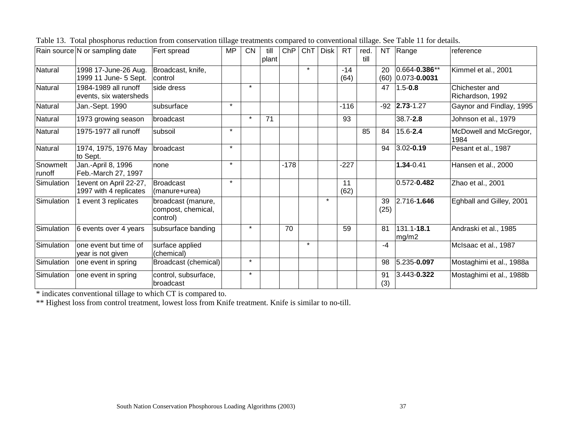|                    | Rain source N or sampling date                   | Fert spread                                          | <b>MP</b> | <b>CN</b> | till<br>plant | ChP    | ChT     | <b>Disk</b> | <b>RT</b>     | red.<br>till |            | NT Range                                 | reference                          |
|--------------------|--------------------------------------------------|------------------------------------------------------|-----------|-----------|---------------|--------|---------|-------------|---------------|--------------|------------|------------------------------------------|------------------------------------|
| Natural            | 1998 17-June-26 Aug.<br>1999 11 June- 5 Sept.    | Broadcast, knife,<br>control                         |           |           |               |        | $\star$ |             | $-14$<br>(64) |              | 20         | $0.664 - 0.386**$<br>$(60)$ 0.073-0.0031 | Kimmel et al., 2001                |
| Natural            | 1984-1989 all runoff<br>events, six watersheds   | side dress                                           |           | $\star$   |               |        |         |             |               |              | 47         | $1.5 - 0.8$                              | Chichester and<br>Richardson, 1992 |
| Natural            | Jan.-Sept. 1990                                  | Isubsurface                                          | $\star$   |           |               |        |         |             | $-116$        |              |            | $-92$ 2.73-1.27                          | Gaynor and Findlay, 1995           |
| Natural            | 1973 growing season                              | broadcast                                            |           | $\star$   | 71            |        |         |             | 93            |              |            | 38.7-2.8                                 | Johnson et al., 1979               |
| Natural            | 1975-1977 all runoff                             | subsoil                                              | $\star$   |           |               |        |         |             |               | 85           | 84         | 15.6-2.4                                 | McDowell and McGregor,<br>1984     |
| Natural            | 1974, 1975, 1976 May<br>to Sept.                 | broadcast                                            | $\star$   |           |               |        |         |             |               |              | 94         | $3.02 - 0.19$                            | Pesant et al., 1987                |
| Snowmelt<br>runoff | Jan.-April 8, 1996<br>Feb.-March 27, 1997        | none                                                 | $\star$   |           |               | $-178$ |         |             | $-227$        |              |            | 1.34-0.41                                | Hansen et al., 2000                |
| Simulation         | 1event on April 22-27,<br>1997 with 4 replicates | Broadcast<br>(manure+urea)                           | $\star$   |           |               |        |         |             | 11<br>(62)    |              |            | $0.572 - 0.482$                          | Zhao et al., 2001                  |
| Simulation         | event 3 replicates                               | broadcast (manure,<br>compost, chemical,<br>control) |           |           |               |        |         | $\star$     |               |              | 39<br>(25) | 2.716-1.646                              | Eghball and Gilley, 2001           |
| Simulation         | 6 events over 4 years                            | subsurface banding                                   |           | $\star$   |               | 70     |         |             | 59            |              | 81         | 131.1-18.1<br>mg/m2                      | Andraski et al., 1985              |
| Simulation         | lone event but time of<br>year is not given      | surface applied<br>(chemical)                        |           |           |               |        | $\star$ |             |               |              | $-4$       |                                          | McIsaac et al., 1987               |
| Simulation         | one event in spring                              | Broadcast (chemical)                                 |           | $\star$   |               |        |         |             |               |              | 98         | 5.235-0.097                              | Mostaghimi et al., 1988a           |
| Simulation         | one event in spring                              | control, subsurface,<br>broadcast                    |           | $\star$   |               |        |         |             |               |              | 91<br>(3)  | 3.443-0.322                              | Mostaghimi et al., 1988b           |

| Table 13. Total phosphorus reduction from conservation tillage treatments compared to conventional tillage. See Table 11 for details.<br>i da a sa san pilang a da anala sa sa sa sa sa sa sa mga sada a da a palabala sa sa sa sa mga dalawan sa salad |  |  |  |  |  |  |  |  |
|---------------------------------------------------------------------------------------------------------------------------------------------------------------------------------------------------------------------------------------------------------|--|--|--|--|--|--|--|--|
|                                                                                                                                                                                                                                                         |  |  |  |  |  |  |  |  |

\* indicates conventional tillage to which CT is compared to.

\*\* Highest loss from control treatment, lowest loss from Knife treatment. Knife is similar to no-till.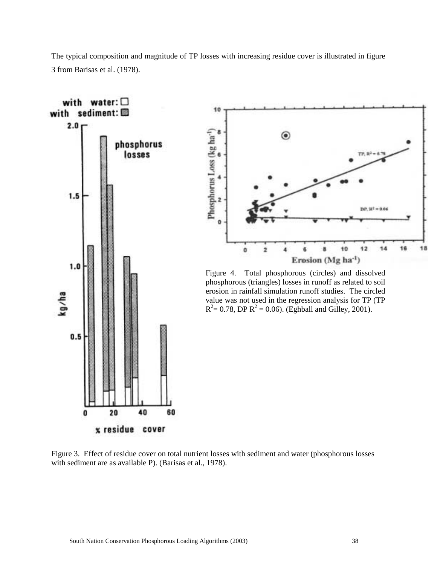The typical composition and magnitude of TP losses with increasing residue cover is illustrated in figure 3 from Barisas et al. (1978).



Figure 3. Effect of residue cover on total nutrient losses with sediment and water (phosphorous losses with sediment are as available P). (Barisas et al., 1978).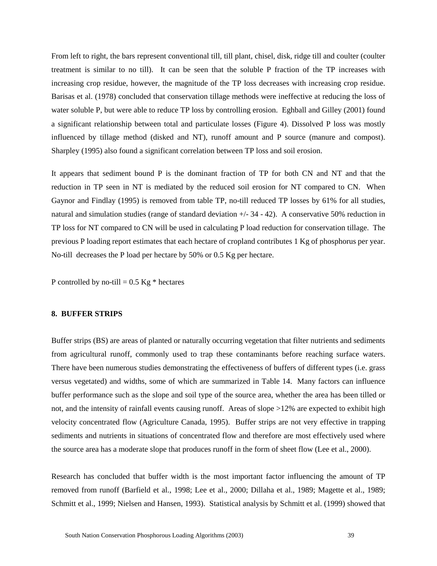From left to right, the bars represent conventional till, till plant, chisel, disk, ridge till and coulter (coulter treatment is similar to no till). It can be seen that the soluble P fraction of the TP increases with increasing crop residue, however, the magnitude of the TP loss decreases with increasing crop residue. Barisas et al. (1978) concluded that conservation tillage methods were ineffective at reducing the loss of water soluble P, but were able to reduce TP loss by controlling erosion. Eghball and Gilley (2001) found a significant relationship between total and particulate losses (Figure 4). Dissolved P loss was mostly influenced by tillage method (disked and NT), runoff amount and P source (manure and compost). Sharpley (1995) also found a significant correlation between TP loss and soil erosion.

It appears that sediment bound P is the dominant fraction of TP for both CN and NT and that the reduction in TP seen in NT is mediated by the reduced soil erosion for NT compared to CN. When Gaynor and Findlay (1995) is removed from table TP, no-till reduced TP losses by 61% for all studies, natural and simulation studies (range of standard deviation  $+/- 34 - 42$ ). A conservative 50% reduction in TP loss for NT compared to CN will be used in calculating P load reduction for conservation tillage. The previous P loading report estimates that each hectare of cropland contributes 1 Kg of phosphorus per year. No-till decreases the P load per hectare by 50% or 0.5 Kg per hectare.

P controlled by no-till =  $0.5$  Kg  $*$  hectares

#### **8. BUFFER STRIPS**

Buffer strips (BS) are areas of planted or naturally occurring vegetation that filter nutrients and sediments from agricultural runoff, commonly used to trap these contaminants before reaching surface waters. There have been numerous studies demonstrating the effectiveness of buffers of different types (i.e. grass versus vegetated) and widths, some of which are summarized in Table 14. Many factors can influence buffer performance such as the slope and soil type of the source area, whether the area has been tilled or not, and the intensity of rainfall events causing runoff. Areas of slope >12% are expected to exhibit high velocity concentrated flow (Agriculture Canada, 1995). Buffer strips are not very effective in trapping sediments and nutrients in situations of concentrated flow and therefore are most effectively used where the source area has a moderate slope that produces runoff in the form of sheet flow (Lee et al., 2000).

Research has concluded that buffer width is the most important factor influencing the amount of TP removed from runoff (Barfield et al., 1998; Lee et al., 2000; Dillaha et al., 1989; Magette et al., 1989; Schmitt et al., 1999; Nielsen and Hansen, 1993). Statistical analysis by Schmitt et al. (1999) showed that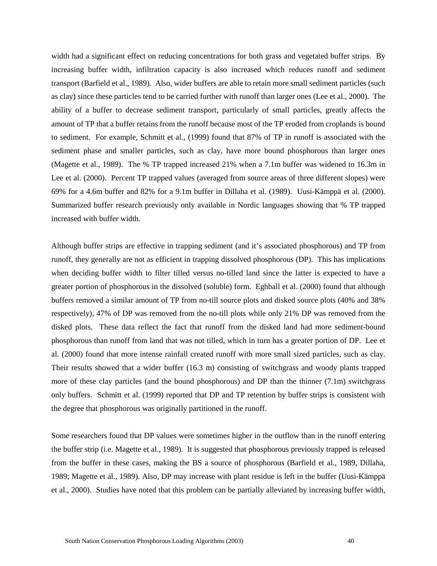width had a significant effect on reducing concentrations for both grass and vegetated buffer strips. By increasing buffer width, infiltration capacity is also increased which reduces runoff and sediment transport (Barfield et al., 1989). Also, wider buffers are able to retain more small sediment particles (such as clay) since these particles tend to be carried further with runoff than larger ones (Lee et al., 2000). The ability of a buffer to decrease sediment transport, particularly of small particles, greatly affects the amount of TP that a buffer retains from the runoff because most of the TP eroded from croplands is bound to sediment. For example, Schmitt et al., (1999) found that 87% of TP in runoff is associated with the sediment phase and smaller particles, such as clay, have more bound phosphorous than larger ones (Magette et al., 1989). The % TP trapped increased 21% when a 7.1m buffer was widened to 16.3m in Lee et al. (2000). Percent TP trapped values (averaged from source areas of three different slopes) were 69% for a 4.6m buffer and 82% for a 9.1m buffer in Dillaha et al. (1989). Uusi-Kämppä et al. (2000). Summarized buffer research previously only available in Nordic languages showing that % TP trapped increased with buffer width.

Although buffer strips are effective in trapping sediment (and it's associated phosphorous) and TP from runoff, they generally are not as efficient in trapping dissolved phosphorous (DP). This has implications when deciding buffer width to filter tilled versus no-tilled land since the latter is expected to have a greater portion of phosphorous in the dissolved (soluble) form. Eghball et al. (2000) found that although buffers removed a similar amount of TP from no-till source plots and disked source plots (40% and 38% respectively), 47% of DP was removed from the no-till plots while only 21% DP was removed from the disked plots. These data reflect the fact that runoff from the disked land had more sediment-bound phosphorous than runoff from land that was not tilled, which in turn has a greater portion of DP. Lee et al. (2000) found that more intense rainfall created runoff with more small sized particles, such as clay. Their results showed that a wider buffer (16.3 m) consisting of switchgrass and woody plants trapped more of these clay particles (and the bound phosphorous) and DP than the thinner (7.1m) switchgrass only buffers. Schmitt et al. (1999) reported that DP and TP retention by buffer strips is consistent with the degree that phosphorous was originally partitioned in the runoff.

Some researchers found that DP values were sometimes higher in the outflow than in the runoff entering the buffer strip (i.e. Magette et al., 1989). It is suggested that phosphorous previously trapped is released from the buffer in these cases, making the BS a source of phosphorous (Barfield et al., 1989, Dillaha, 1989; Magette et al., 1989). Also, DP may increase with plant residue is left in the buffer (Uusi-Kämppä et al., 2000). Studies have noted that this problem can be partially alleviated by increasing buffer width,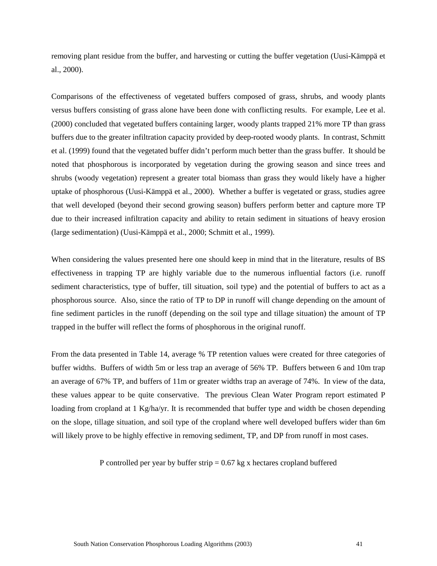removing plant residue from the buffer, and harvesting or cutting the buffer vegetation (Uusi-Kämppä et al., 2000).

Comparisons of the effectiveness of vegetated buffers composed of grass, shrubs, and woody plants versus buffers consisting of grass alone have been done with conflicting results. For example, Lee et al. (2000) concluded that vegetated buffers containing larger, woody plants trapped 21% more TP than grass buffers due to the greater infiltration capacity provided by deep-rooted woody plants. In contrast, Schmitt et al. (1999) found that the vegetated buffer didn't perform much better than the grass buffer. It should be noted that phosphorous is incorporated by vegetation during the growing season and since trees and shrubs (woody vegetation) represent a greater total biomass than grass they would likely have a higher uptake of phosphorous (Uusi-Kämppä et al., 2000). Whether a buffer is vegetated or grass, studies agree that well developed (beyond their second growing season) buffers perform better and capture more TP due to their increased infiltration capacity and ability to retain sediment in situations of heavy erosion (large sedimentation) (Uusi-Kämppä et al., 2000; Schmitt et al., 1999).

When considering the values presented here one should keep in mind that in the literature, results of BS effectiveness in trapping TP are highly variable due to the numerous influential factors (i.e. runoff sediment characteristics, type of buffer, till situation, soil type) and the potential of buffers to act as a phosphorous source. Also, since the ratio of TP to DP in runoff will change depending on the amount of fine sediment particles in the runoff (depending on the soil type and tillage situation) the amount of TP trapped in the buffer will reflect the forms of phosphorous in the original runoff.

From the data presented in Table 14, average % TP retention values were created for three categories of buffer widths. Buffers of width 5m or less trap an average of 56% TP. Buffers between 6 and 10m trap an average of 67% TP, and buffers of 11m or greater widths trap an average of 74%. In view of the data, these values appear to be quite conservative. The previous Clean Water Program report estimated P loading from cropland at 1 Kg/ha/yr. It is recommended that buffer type and width be chosen depending on the slope, tillage situation, and soil type of the cropland where well developed buffers wider than 6m will likely prove to be highly effective in removing sediment, TP, and DP from runoff in most cases.

P controlled per year by buffer strip  $= 0.67$  kg x hectares cropland buffered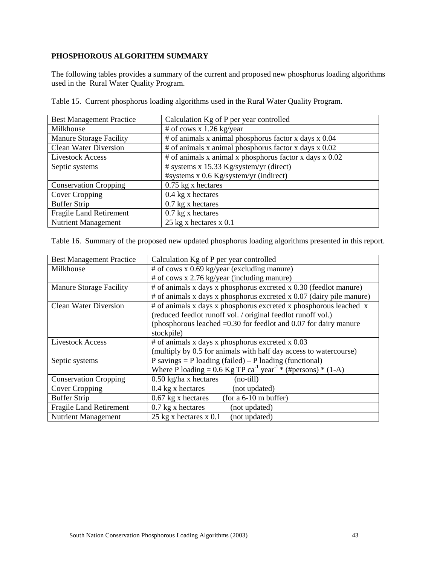## **PHOSPHOROUS ALGORITHM SUMMARY**

The following tables provides a summary of the current and proposed new phosphorus loading algorithms used in the Rural Water Quality Program.

| <b>Best Management Practice</b> | Calculation Kg of P per year controlled                           |
|---------------------------------|-------------------------------------------------------------------|
| Milkhouse                       | # of cows x 1.26 kg/year                                          |
| <b>Manure Storage Facility</b>  | $#$ of animals x animal phosphorus factor x days x 0.04           |
| <b>Clean Water Diversion</b>    | $#$ of animals x animal phosphorus factor x days x 0.02           |
| <b>Livestock Access</b>         | # of animals x animal x phosphorus factor x days $\frac{x}{0.02}$ |
| Septic systems                  | # systems x 15.33 Kg/system/yr (direct)                           |
|                                 | #systems x 0.6 Kg/system/yr (indirect)                            |
| <b>Conservation Cropping</b>    | $0.75$ kg x hectares                                              |
| Cover Cropping                  | $0.4$ kg x hectares                                               |
| <b>Buffer Strip</b>             | $0.7$ kg x hectares                                               |
| <b>Fragile Land Retirement</b>  | $0.7$ kg x hectares                                               |
| <b>Nutrient Management</b>      | $25 \text{ kg x }$ hectares x 0.1                                 |

Table 15. Current phosphorus loading algorithms used in the Rural Water Quality Program.

Table 16. Summary of the proposed new updated phosphorus loading algorithms presented in this report.

| <b>Best Management Practice</b> | Calculation Kg of P per year controlled                                                |
|---------------------------------|----------------------------------------------------------------------------------------|
| Milkhouse                       | $#$ of cows x 0.69 kg/year (excluding manure)                                          |
|                                 | $#$ of cows x 2.76 kg/year (including manure)                                          |
| <b>Manure Storage Facility</b>  | # of animals x days x phosphorus excreted x 0.30 (feedlot manure)                      |
|                                 | $#$ of animals x days x phosphorus excreted x 0.07 (dairy pile manure)                 |
| <b>Clean Water Diversion</b>    | # of animals x days x phosphorus excreted x phosphorous leached x                      |
|                                 | (reduced feedlot runoff vol. / original feedlot runoff vol.)                           |
|                                 | (phosphorous leached $=0.30$ for feedlot and 0.07 for dairy manure                     |
|                                 | stockpile)                                                                             |
| <b>Livestock Access</b>         | $\#$ of animals x days x phosphorus excreted x 0.03                                    |
|                                 | (multiply by 0.5 for animals with half day access to watercourse)                      |
| Septic systems                  | P savings = P loading (failed) – P loading (functional)                                |
|                                 | Where P loading = $0.6$ Kg TP ca <sup>-1</sup> year <sup>-1</sup> * (#persons) * (1-A) |
| <b>Conservation Cropping</b>    | $0.50$ kg/ha x hectares<br>(no-till)                                                   |
| Cover Cropping                  | $0.4$ kg x hectares<br>(not updated)                                                   |
| <b>Buffer Strip</b>             | $0.67$ kg x hectares<br>(for a $6-10$ m buffer)                                        |
| <b>Fragile Land Retirement</b>  | $0.7$ kg x hectares<br>(not updated)                                                   |
| <b>Nutrient Management</b>      | 25 kg x hectares $x$ 0.1<br>(not updated)                                              |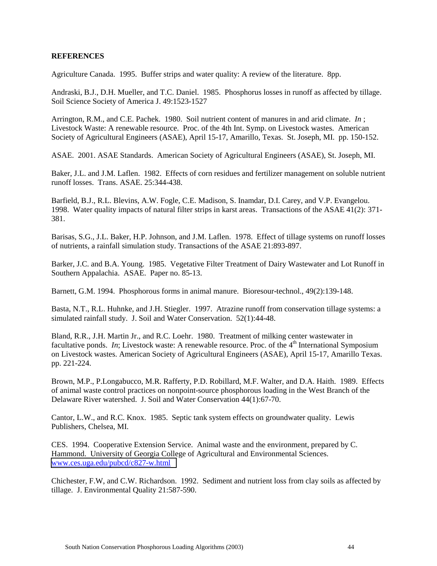## **REFERENCES**

Agriculture Canada. 1995. Buffer strips and water quality: A review of the literature. 8pp.

Andraski, B.J., D.H. Mueller, and T.C. Daniel. 1985. Phosphorus losses in runoff as affected by tillage. Soil Science Society of America J. 49:1523-1527

Arrington, R.M., and C.E. Pachek. 1980. Soil nutrient content of manures in and arid climate. *In* ; Livestock Waste: A renewable resource. Proc. of the 4th Int. Symp. on Livestock wastes. American Society of Agricultural Engineers (ASAE), April 15-17, Amarillo, Texas. St. Joseph, MI. pp. 150-152.

ASAE. 2001. ASAE Standards. American Society of Agricultural Engineers (ASAE), St. Joseph, MI.

Baker, J.L. and J.M. Laflen. 1982. Effects of corn residues and fertilizer management on soluble nutrient runoff losses. Trans. ASAE. 25:344-438.

Barfield, B.J., R.L. Blevins, A.W. Fogle, C.E. Madison, S. Inamdar, D.I. Carey, and V.P. Evangelou. 1998. Water quality impacts of natural filter strips in karst areas. Transactions of the ASAE 41(2): 371- 381.

Barisas, S.G., J.L. Baker, H.P. Johnson, and J.M. Laflen. 1978. Effect of tillage systems on runoff losses of nutrients, a rainfall simulation study. Transactions of the ASAE 21:893-897.

Barker, J.C. and B.A. Young. 1985. Vegetative Filter Treatment of Dairy Wastewater and Lot Runoff in Southern Appalachia. ASAE. Paper no. 85-13.

Barnett, G.M. 1994. Phosphorous forms in animal manure. Bioresour-technol., 49(2):139-148.

Basta, N.T., R.L. Huhnke, and J.H. Stiegler. 1997. Atrazine runoff from conservation tillage systems: a simulated rainfall study. J. Soil and Water Conservation. 52(1):44-48.

Bland, R.R., J.H. Martin Jr., and R.C. Loehr. 1980. Treatment of milking center wastewater in facultative ponds. *In*; Livestock waste: A renewable resource. Proc. of the  $4<sup>th</sup>$  International Symposium on Livestock wastes. American Society of Agricultural Engineers (ASAE), April 15-17, Amarillo Texas. pp. 221-224.

Brown, M.P., P.Longabucco, M.R. Rafferty, P.D. Robillard, M.F. Walter, and D.A. Haith. 1989. Effects of animal waste control practices on nonpoint-source phosphorous loading in the West Branch of the Delaware River watershed. J. Soil and Water Conservation 44(1):67-70.

Cantor, L.W., and R.C. Knox. 1985. Septic tank system effects on groundwater quality. Lewis Publishers, Chelsea, MI.

CES. 1994. Cooperative Extension Service. Animal waste and the environment, prepared by C. Hammond. University of Georgia College of Agricultural and Environmental Sciences. [www.ces.uga.edu/pubcd/c827-w.html](http://www.ces.uga.edu/pubcd/c827-w.html)

Chichester, F.W, and C.W. Richardson. 1992. Sediment and nutrient loss from clay soils as affected by tillage. J. Environmental Quality 21:587-590.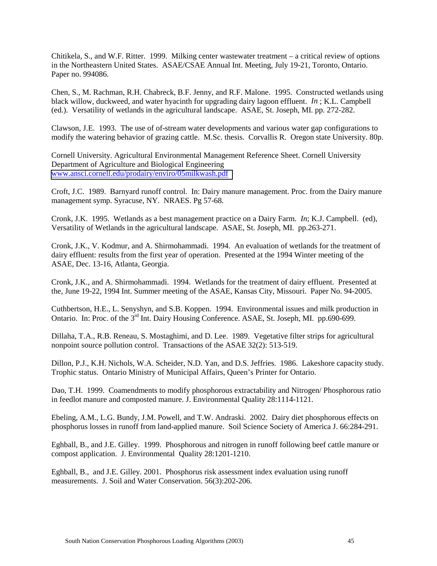Chitikela, S., and W.F. Ritter. 1999. Milking center wastewater treatment – a critical review of options in the Northeastern United States. ASAE/CSAE Annual Int. Meeting, July 19-21, Toronto, Ontario. Paper no. 994086.

Chen, S., M. Rachman, R.H. Chabreck, B.F. Jenny, and R.F. Malone. 1995. Constructed wetlands using black willow, duckweed, and water hyacinth for upgrading dairy lagoon effluent. *In* ; K.L. Campbell (ed.). Versatility of wetlands in the agricultural landscape. ASAE, St. Joseph, MI. pp. 272-282.

Clawson, J.E. 1993. The use of of-stream water developments and various water gap configurations to modify the watering behavior of grazing cattle. M.Sc. thesis. Corvallis R. Oregon state University. 80p.

Cornell University. Agricultural Environmental Management Reference Sheet. Cornell University Department of Agriculture and Biological Engineering [www.ansci.cornell.edu/prodairy/enviro/05milkwash.pdf](http://www.ansci.cornell.edu/prodairy/enviro/05milkwash.pdf)

Croft, J.C. 1989. Barnyard runoff control. In: Dairy manure management. Proc. from the Dairy manure management symp. Syracuse, NY. NRAES. Pg 57-68.

Cronk, J.K. 1995. Wetlands as a best management practice on a Dairy Farm. *In*; K.J. Campbell. (ed), Versatility of Wetlands in the agricultural landscape. ASAE, St. Joseph, MI. pp.263-271.

Cronk, J.K., V. Kodmur, and A. Shirmohammadi. 1994. An evaluation of wetlands for the treatment of dairy effluent: results from the first year of operation. Presented at the 1994 Winter meeting of the ASAE, Dec. 13-16, Atlanta, Georgia.

Cronk, J.K., and A. Shirmohammadi. 1994. Wetlands for the treatment of dairy effluent. Presented at the, June 19-22, 1994 Int. Summer meeting of the ASAE, Kansas City, Missouri. Paper No. 94-2005.

Cuthbertson, H.E., L. Senyshyn, and S.B. Koppen. 1994. Environmental issues and milk production in Ontario. In: Proc. of the 3<sup>rd</sup> Int. Dairy Housing Conference. ASAE, St. Joseph, MI. pp.690-699.

Dillaha, T.A., R.B. Reneau, S. Mostaghimi, and D. Lee. 1989. Vegetative filter strips for agricultural nonpoint source pollution control. Transactions of the ASAE 32(2): 513-519.

Dillon, P.J., K.H. Nichols, W.A. Scheider, N.D. Yan, and D.S. Jeffries. 1986. Lakeshore capacity study. Trophic status. Ontario Ministry of Municipal Affairs, Queen's Printer for Ontario.

Dao, T.H. 1999. Coamendments to modify phosphorous extractability and Nitrogen/ Phosphorous ratio in feedlot manure and composted manure. J. Environmental Quality 28:1114-1121.

Ebeling, A.M., L.G. Bundy, J.M. Powell, and T.W. Andraski. 2002. Dairy diet phosphorous effects on phosphorus losses in runoff from land-applied manure. Soil Science Society of America J. 66:284-291.

Eghball, B., and J.E. Gilley. 1999. Phosphorous and nitrogen in runoff following beef cattle manure or compost application. J. Environmental Quality 28:1201-1210.

Eghball, B., and J.E. Gilley. 2001. Phosphorus risk assessment index evaluation using runoff measurements. J. Soil and Water Conservation. 56(3):202-206.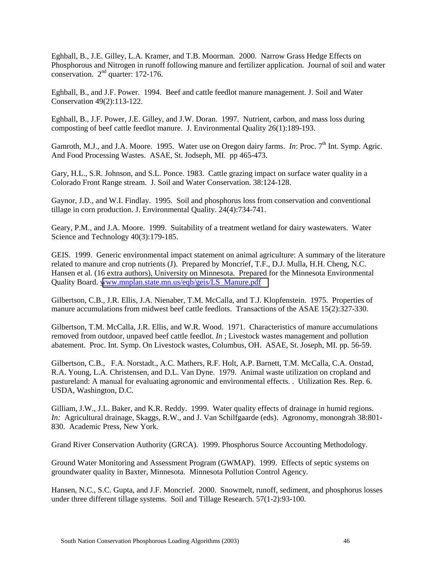Eghball, B., J.E. Gilley, L.A. Kramer, and T.B. Moorman. 2000. Narrow Grass Hedge Effects on Phosphorous and Nitrogen in runoff following manure and fertilizer application. Journal of soil and water conservation.  $2<sup>nd</sup>$  quarter: 172-176.

Eghball, B., and J.F. Power. 1994. Beef and cattle feedlot manure management. J. Soil and Water Conservation 49(2):113-122.

Eghball, B., J.F. Power, J.E. Gilley, and J.W. Doran. 1997. Nutrient, carbon, and mass loss during composting of beef cattle feedlot manure. J. Environmental Quality 26(1):189-193.

Gamroth, M.J., and J.A. Moore. 1995. Water use on Oregon dairy farms. *In*: Proc. 7<sup>th</sup> Int. Symp. Agric. And Food Processing Wastes. ASAE, St. Jodseph, MI. pp 465-473.

Gary, H.L., S.R. Johnson, and S.L. Ponce. 1983. Cattle grazing impact on surface water quality in a Colorado Front Range stream. J. Soil and Water Conservation. 38:124-128.

Gaynor, J.D., and W.I. Findlay. 1995. Soil and phosphorus loss from conservation and conventional tillage in corn production. J. Environmental Quality. 24(4):734-741.

Geary, P.M., and J.A. Moore. 1999. Suitability of a treatment wetland for dairy wastewaters. Water Science and Technology 40(3):179-185.

GEIS. 1999. Generic environmental impact statement on animal agriculture: A summary of the literature related to manure and crop nutrients (J). Prepared by Moncrief, T.F., D.J. Mulla, H.H. Cheng, N.C. Hansen et al. (16 extra authors), University on Minnesota. Prepared for the Minnesota Environmental Quality Board. [www.mnplan.state.mn.us/eqb/geis/LS\\_Manure.pdf](http://www.mnplan.state.mn.us/eqb/geis/LS_Manure.pdf)

Gilbertson, C.B., J.R. Ellis, J.A. Nienaber, T.M. McCalla, and T.J. Klopfenstein. 1975. Properties of manure accumulations from midwest beef cattle feedlots. Transactions of the ASAE 15(2):327-330.

Gilbertson, T.M. McCalla, J.R. Ellis, and W.R. Wood. 1971. Characteristics of manure accumulations removed from outdoor, unpaved beef cattle feedlot. *In* ; Livestock wastes management and pollution abatement. Proc. Int. Symp. On Livestock wastes, Columbus, OH. ASAE, St. Joseph, MI. pp. 56-59.

Gilbertson, C.B., F.A. Norstadt., A.C. Mathers, R.F. Holt, A.P. Barnett, T.M. McCalla, C.A. Onstad, R.A. Young, L.A. Christensen, and D.L. Van Dyne. 1979. Animal waste utilization on cropland and pastureland: A manual for evaluating agronomic and environmental effects. . Utilization Res. Rep. 6. USDA, Washington, D.C.

Gilliam, J.W., J.L. Baker, and K.R. Reddy. 1999. Water quality effects of drainage in humid regions. *In:* Agricultural drainage, Skaggs, R.W., and J. Van Schilfgaarde (eds). Agronomy, monongrah 38:801- 830. Academic Press, New York.

Grand River Conservation Authority (GRCA). 1999. Phosphorus Source Accounting Methodology.

Ground Water Monitoring and Assessment Program (GWMAP). 1999. Effects of septic systems on groundwater quality in Baxter, Minnesota. Minnesota Pollution Control Agency.

Hansen, N.C., S.C. Gupta, and J.F. Moncrief. 2000. Snowmelt, runoff, sediment, and phosphorus losses under three different tillage systems. Soil and Tillage Research. 57(1-2):93-100.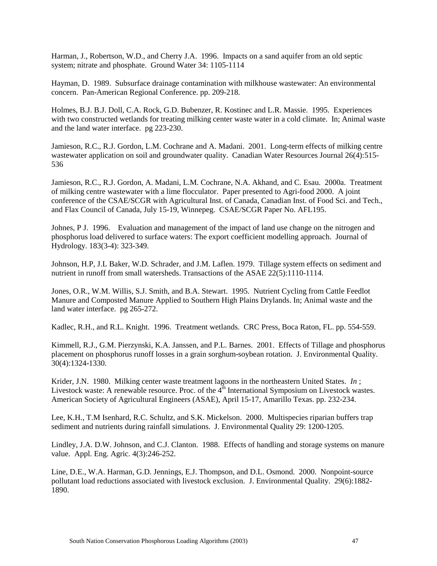Harman, J., Robertson, W.D., and Cherry J.A. 1996. Impacts on a sand aquifer from an old septic system; nitrate and phosphate. Ground Water 34: 1105-1114

Hayman, D. 1989. Subsurface drainage contamination with milkhouse wastewater: An environmental concern. Pan-American Regional Conference. pp. 209-218.

Holmes, B.J. B.J. Doll, C.A. Rock, G.D. Bubenzer, R. Kostinec and L.R. Massie. 1995. Experiences with two constructed wetlands for treating milking center waste water in a cold climate. In: Animal waste and the land water interface. pg 223-230.

Jamieson, R.C., R.J. Gordon, L.M. Cochrane and A. Madani. 2001. Long-term effects of milking centre wastewater application on soil and groundwater quality. Canadian Water Resources Journal 26(4):515-536

Jamieson, R.C., R.J. Gordon, A. Madani, L.M. Cochrane, N.A. Akhand, and C. Esau. 2000a. Treatment of milking centre wastewater with a lime flocculator. Paper presented to Agri-food 2000. A joint conference of the CSAE/SCGR with Agricultural Inst. of Canada, Canadian Inst. of Food Sci. and Tech., and Flax Council of Canada, July 15-19, Winnepeg. CSAE/SCGR Paper No. AFL195.

Johnes, P J. 1996. Evaluation and management of the impact of land use change on the nitrogen and phosphorus load delivered to surface waters: The export coefficient modelling approach. Journal of Hydrology. 183(3-4): 323-349.

Johnson, H.P, J.L Baker, W.D. Schrader, and J.M. Laflen. 1979. Tillage system effects on sediment and nutrient in runoff from small watersheds. Transactions of the ASAE 22(5):1110-1114.

Jones, O.R., W.M. Willis, S.J. Smith, and B.A. Stewart. 1995. Nutrient Cycling from Cattle Feedlot Manure and Composted Manure Applied to Southern High Plains Drylands. In; Animal waste and the land water interface. pg 265-272.

Kadlec, R.H., and R.L. Knight. 1996. Treatment wetlands. CRC Press, Boca Raton, FL. pp. 554-559.

Kimmell, R.J., G.M. Pierzynski, K.A. Janssen, and P.L. Barnes. 2001. Effects of Tillage and phosphorus placement on phosphorus runoff losses in a grain sorghum-soybean rotation. J. Environmental Quality. 30(4):1324-1330.

Krider, J.N. 1980. Milking center waste treatment lagoons in the northeastern United States. *In* ; Livestock waste: A renewable resource. Proc. of the 4<sup>th</sup> International Symposium on Livestock wastes. American Society of Agricultural Engineers (ASAE), April 15-17, Amarillo Texas. pp. 232-234.

Lee, K.H., T.M Isenhard, R.C. Schultz, and S.K. Mickelson. 2000. Multispecies riparian buffers trap sediment and nutrients during rainfall simulations. J. Environmental Quality 29: 1200-1205.

Lindley, J.A. D.W. Johnson, and C.J. Clanton. 1988. Effects of handling and storage systems on manure value. Appl. Eng. Agric. 4(3):246-252.

Line, D.E., W.A. Harman, G.D. Jennings, E.J. Thompson, and D.L. Osmond. 2000. Nonpoint-source pollutant load reductions associated with livestock exclusion. J. Environmental Quality. 29(6):1882- 1890.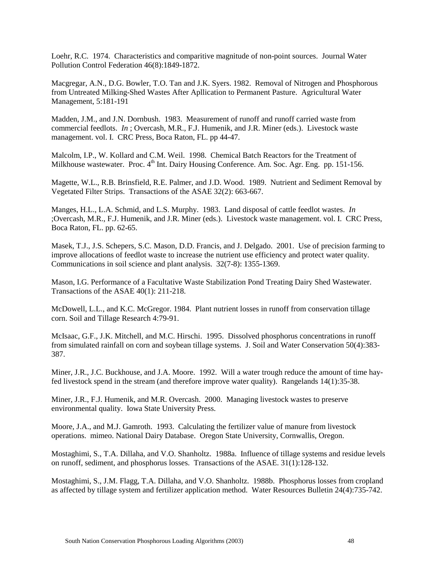Loehr, R.C. 1974. Characteristics and comparitive magnitude of non-point sources. Journal Water Pollution Control Federation 46(8):1849-1872.

Macgregar, A.N., D.G. Bowler, T.O. Tan and J.K. Syers. 1982. Removal of Nitrogen and Phosphorous from Untreated Milking-Shed Wastes After Apllication to Permanent Pasture. Agricultural Water Management, 5:181-191

Madden, J.M., and J.N. Dornbush. 1983. Measurement of runoff and runoff carried waste from commercial feedlots. *In* ; Overcash, M.R., F.J. Humenik, and J.R. Miner (eds.). Livestock waste management. vol. I. CRC Press, Boca Raton, FL. pp 44-47.

Malcolm, I.P., W. Kollard and C.M. Weil. 1998. Chemical Batch Reactors for the Treatment of Milkhouse wastewater. Proc. 4<sup>th</sup> Int. Dairy Housing Conference. Am. Soc. Agr. Eng. pp. 151-156.

Magette, W.L., R.B. Brinsfield, R.E. Palmer, and J.D. Wood. 1989. Nutrient and Sediment Removal by Vegetated Filter Strips. Transactions of the ASAE 32(2): 663-667.

Manges, H.L., L.A. Schmid, and L.S. Murphy. 1983. Land disposal of cattle feedlot wastes. *In* ;Overcash, M.R., F.J. Humenik, and J.R. Miner (eds.). Livestock waste management. vol. I. CRC Press, Boca Raton, FL. pp. 62-65.

Masek, T.J., J.S. Schepers, S.C. Mason, D.D. Francis, and J. Delgado. 2001. Use of precision farming to improve allocations of feedlot waste to increase the nutrient use efficiency and protect water quality. Communications in soil science and plant analysis. 32(7-8): 1355-1369.

Mason, I.G. Performance of a Facultative Waste Stabilization Pond Treating Dairy Shed Wastewater. Transactions of the ASAE 40(1): 211-218.

McDowell, L.L., and K.C. McGregor. 1984. Plant nutrient losses in runoff from conservation tillage corn. Soil and Tillage Research 4:79-91.

McIsaac, G.F., J.K. Mitchell, and M.C. Hirschi. 1995. Dissolved phosphorus concentrations in runoff from simulated rainfall on corn and soybean tillage systems. J. Soil and Water Conservation 50(4):383- 387.

Miner, J.R., J.C. Buckhouse, and J.A. Moore. 1992. Will a water trough reduce the amount of time hayfed livestock spend in the stream (and therefore improve water quality). Rangelands 14(1):35-38.

Miner, J.R., F.J. Humenik, and M.R. Overcash. 2000. Managing livestock wastes to preserve environmental quality. Iowa State University Press.

Moore, J.A., and M.J. Gamroth. 1993. Calculating the fertilizer value of manure from livestock operations. mimeo. National Dairy Database. Oregon State University, Cornwallis, Oregon.

Mostaghimi, S., T.A. Dillaha, and V.O. Shanholtz. 1988a. Influence of tillage systems and residue levels on runoff, sediment, and phosphorus losses. Transactions of the ASAE. 31(1):128-132.

Mostaghimi, S., J.M. Flagg, T.A. Dillaha, and V.O. Shanholtz. 1988b. Phosphorus losses from cropland as affected by tillage system and fertilizer application method. Water Resources Bulletin 24(4):735-742.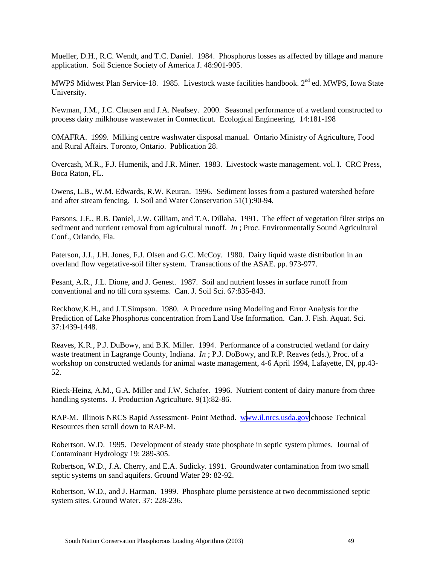Mueller, D.H., R.C. Wendt, and T.C. Daniel. 1984. Phosphorus losses as affected by tillage and manure application. Soil Science Society of America J. 48:901-905.

MWPS Midwest Plan Service-18. 1985. Livestock waste facilities handbook. 2<sup>nd</sup> ed. MWPS, Iowa State University.

Newman, J.M., J.C. Clausen and J.A. Neafsey. 2000. Seasonal performance of a wetland constructed to process dairy milkhouse wastewater in Connecticut. Ecological Engineering. 14:181-198

OMAFRA. 1999. Milking centre washwater disposal manual. Ontario Ministry of Agriculture, Food and Rural Affairs. Toronto, Ontario. Publication 28.

Overcash, M.R., F.J. Humenik, and J.R. Miner. 1983. Livestock waste management. vol. I. CRC Press, Boca Raton, FL.

Owens, L.B., W.M. Edwards, R.W. Keuran. 1996. Sediment losses from a pastured watershed before and after stream fencing. J. Soil and Water Conservation 51(1):90-94.

Parsons, J.E., R.B. Daniel, J.W. Gilliam, and T.A. Dillaha. 1991. The effect of vegetation filter strips on sediment and nutrient removal from agricultural runoff. *In* ; Proc. Environmentally Sound Agricultural Conf., Orlando, Fla.

Paterson, J.J., J.H. Jones, F.J. Olsen and G.C. McCoy. 1980. Dairy liquid waste distribution in an overland flow vegetative-soil filter system. Transactions of the ASAE. pp. 973-977.

Pesant, A.R., J.L. Dione, and J. Genest. 1987. Soil and nutrient losses in surface runoff from conventional and no till corn systems. Can. J. Soil Sci. 67:835-843.

Reckhow,K.H., and J.T.Simpson. 1980. A Procedure using Modeling and Error Analysis for the Prediction of Lake Phosphorus concentration from Land Use Information. Can. J. Fish. Aquat. Sci. 37:1439-1448.

Reaves, K.R., P.J. DuBowy, and B.K. Miller. 1994. Performance of a constructed wetland for dairy waste treatment in Lagrange County, Indiana. *In* ; P.J. DoBowy, and R.P. Reaves (eds.), Proc. of a workshop on constructed wetlands for animal waste management, 4-6 April 1994, Lafayette, IN, pp.43- 52.

Rieck-Heinz, A.M., G.A. Miller and J.W. Schafer. 1996. Nutrient content of dairy manure from three handling systems. J. Production Agriculture. 9(1):82-86.

RAP-M. Illinois NRCS Rapid Assessment- Point Method. w[ww.il.nrcs.usda.gov](http://www.il.nrcs.usda.gov/) choose Technical Resources then scroll down to RAP-M.

Robertson, W.D. 1995. Development of steady state phosphate in septic system plumes. Journal of Contaminant Hydrology 19: 289-305.

Robertson, W.D., J.A. Cherry, and E.A. Sudicky. 1991. Groundwater contamination from two small septic systems on sand aquifers. Ground Water 29: 82-92.

Robertson, W.D., and J. Harman. 1999. Phosphate plume persistence at two decommissioned septic system sites. Ground Water. 37: 228-236.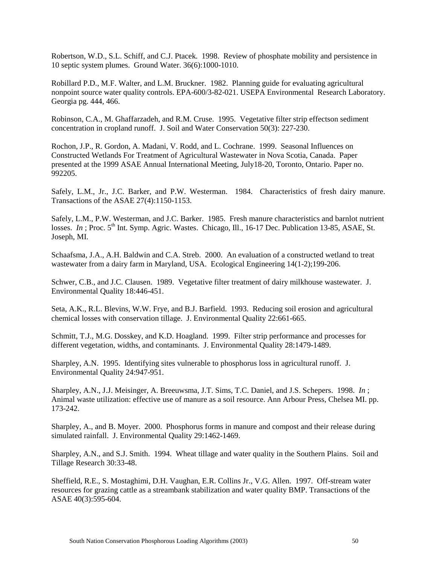Robertson, W.D., S.L. Schiff, and C.J. Ptacek. 1998. Review of phosphate mobility and persistence in 10 septic system plumes. Ground Water. 36(6):1000-1010.

Robillard P.D., M.F. Walter, and L.M. Bruckner. 1982. Planning guide for evaluating agricultural nonpoint source water quality controls. EPA-600/3-82-021. USEPA Environmental Research Laboratory. Georgia pg. 444, 466.

Robinson, C.A., M. Ghaffarzadeh, and R.M. Cruse. 1995. Vegetative filter strip effectson sediment concentration in cropland runoff. J. Soil and Water Conservation 50(3): 227-230.

Rochon, J.P., R. Gordon, A. Madani, V. Rodd, and L. Cochrane. 1999. Seasonal Influences on Constructed Wetlands For Treatment of Agricultural Wastewater in Nova Scotia, Canada. Paper presented at the 1999 ASAE Annual International Meeting, July18-20, Toronto, Ontario. Paper no. 992205.

Safely, L.M., Jr., J.C. Barker, and P.W. Westerman. 1984. Characteristics of fresh dairy manure. Transactions of the ASAE 27(4):1150-1153.

Safely, L.M., P.W. Westerman, and J.C. Barker. 1985. Fresh manure characteristics and barnlot nutrient losses. *In*; Proc. 5<sup>th</sup> Int. Symp. Agric. Wastes. Chicago, Ill., 16-17 Dec. Publication 13-85, ASAE, St. Joseph, MI.

Schaafsma, J.A., A.H. Baldwin and C.A. Streb. 2000. An evaluation of a constructed wetland to treat wastewater from a dairy farm in Maryland, USA. Ecological Engineering 14(1-2);199-206.

Schwer, C.B., and J.C. Clausen. 1989. Vegetative filter treatment of dairy milkhouse wastewater. J. Environmental Quality 18:446-451.

Seta, A.K., R.L. Blevins, W.W. Frye, and B.J. Barfield. 1993. Reducing soil erosion and agricultural chemical losses with conservation tillage. J. Environmental Quality 22:661-665.

Schmitt, T.J., M.G. Dosskey, and K.D. Hoagland. 1999. Filter strip performance and processes for different vegetation, widths, and contaminants. J. Environmental Quality 28:1479-1489.

Sharpley, A.N. 1995. Identifying sites vulnerable to phosphorus loss in agricultural runoff. J. Environmental Quality 24:947-951.

Sharpley, A.N., J.J. Meisinger, A. Breeuwsma, J.T. Sims, T.C. Daniel, and J.S. Schepers. 1998. *In* ; Animal waste utilization: effective use of manure as a soil resource. Ann Arbour Press, Chelsea MI. pp. 173-242.

Sharpley, A., and B. Moyer. 2000. Phosphorus forms in manure and compost and their release during simulated rainfall. J. Environmental Quality 29:1462-1469.

Sharpley, A.N., and S.J. Smith. 1994. Wheat tillage and water quality in the Southern Plains. Soil and Tillage Research 30:33-48.

Sheffield, R.E., S. Mostaghimi, D.H. Vaughan, E.R. Collins Jr., V.G. Allen. 1997. Off-stream water resources for grazing cattle as a streambank stabilization and water quality BMP. Transactions of the ASAE 40(3):595-604.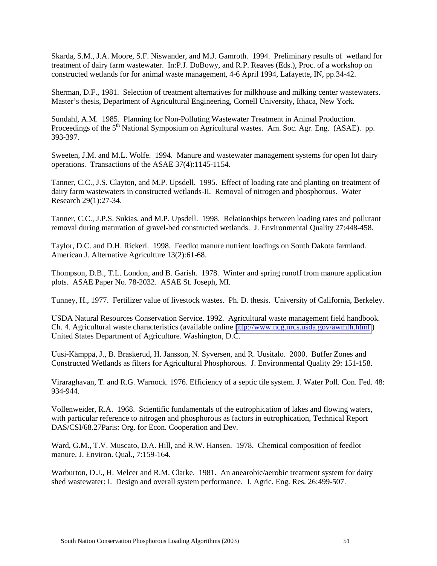Skarda, S.M., J.A. Moore, S.F. Niswander, and M.J. Gamroth. 1994. Preliminary results of wetland for treatment of dairy farm wastewater. In:P.J. DoBowy, and R.P. Reaves (Eds.), Proc. of a workshop on constructed wetlands for for animal waste management, 4-6 April 1994, Lafayette, IN, pp.34-42.

Sherman, D.F., 1981. Selection of treatment alternatives for milkhouse and milking center wastewaters. Master's thesis, Department of Agricultural Engineering, Cornell University, Ithaca, New York.

Sundahl, A.M. 1985. Planning for Non-Polluting Wastewater Treatment in Animal Production. Proceedings of the 5<sup>th</sup> National Symposium on Agricultural wastes. Am. Soc. Agr. Eng. (ASAE). pp. 393-397.

Sweeten, J.M. and M.L. Wolfe. 1994. Manure and wastewater management systems for open lot dairy operations. Transactions of the ASAE 37(4):1145-1154.

Tanner, C.C., J.S. Clayton, and M.P. Upsdell. 1995. Effect of loading rate and planting on treatment of dairy farm wastewaters in constructed wetlands-II. Removal of nitrogen and phosphorous. Water Research 29(1):27-34.

Tanner, C.C., J.P.S. Sukias, and M.P. Upsdell. 1998. Relationships between loading rates and pollutant removal during maturation of gravel-bed constructed wetlands. J. Environmental Quality 27:448-458.

Taylor, D.C. and D.H. Rickerl. 1998. Feedlot manure nutrient loadings on South Dakota farmland. American J. Alternative Agriculture 13(2):61-68.

Thompson, D.B., T.L. London, and B. Garish. 1978. Winter and spring runoff from manure application plots. ASAE Paper No. 78-2032. ASAE St. Joseph, MI.

Tunney, H., 1977. Fertilizer value of livestock wastes. Ph. D. thesis. University of California, Berkeley.

USDA Natural Resources Conservation Service. 1992. Agricultural waste management field handbook. Ch. 4. Agricultural waste characteristics (available online <http://www.ncg.nrcs.usda.gov/awmfh.html>) United States Department of Agriculture. Washington, D.C.

Uusi-Kämppä, J., B. Braskerud, H. Jansson, N. Syversen, and R. Uusitalo. 2000. Buffer Zones and Constructed Wetlands as filters for Agricultural Phosphorous. J. Environmental Quality 29: 151-158.

Viraraghavan, T. and R.G. Warnock. 1976. Efficiency of a septic tile system. J. Water Poll. Con. Fed. 48: 934-944.

Vollenweider, R.A. 1968. Scientific fundamentals of the eutrophication of lakes and flowing waters, with particular reference to nitrogen and phosphorous as factors in eutrophication, Technical Report DAS/CSI/68.27Paris: Org. for Econ. Cooperation and Dev.

Ward, G.M., T.V. Muscato, D.A. Hill, and R.W. Hansen. 1978. Chemical composition of feedlot manure. J. Environ. Qual., 7:159-164.

Warburton, D.J., H. Melcer and R.M. Clarke. 1981. An anearobic/aerobic treatment system for dairy shed wastewater: I. Design and overall system performance. J. Agric. Eng. Res. 26:499-507.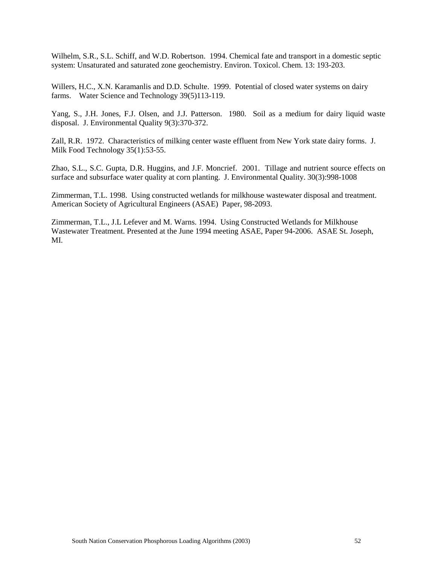Wilhelm, S.R., S.L. Schiff, and W.D. Robertson. 1994. Chemical fate and transport in a domestic septic system: Unsaturated and saturated zone geochemistry. Environ. Toxicol. Chem. 13: 193-203.

Willers, H.C., X.N. Karamanlis and D.D. Schulte. 1999. Potential of closed water systems on dairy farms. Water Science and Technology 39(5)113-119.

Yang, S., J.H. Jones, F.J. Olsen, and J.J. Patterson. 1980. Soil as a medium for dairy liquid waste disposal. J. Environmental Quality 9(3):370-372.

Zall, R.R. 1972. Characteristics of milking center waste effluent from New York state dairy forms. J. Milk Food Technology 35(1):53-55.

Zhao, S.L., S.C. Gupta, D.R. Huggins, and J.F. Moncrief. 2001. Tillage and nutrient source effects on surface and subsurface water quality at corn planting. J. Environmental Quality. 30(3):998-1008

Zimmerman, T.L. 1998. Using constructed wetlands for milkhouse wastewater disposal and treatment. American Society of Agricultural Engineers (ASAE) Paper, 98-2093.

Zimmerman, T.L., J.L Lefever and M. Warns. 1994. Using Constructed Wetlands for Milkhouse Wastewater Treatment. Presented at the June 1994 meeting ASAE, Paper 94-2006. ASAE St. Joseph, MI.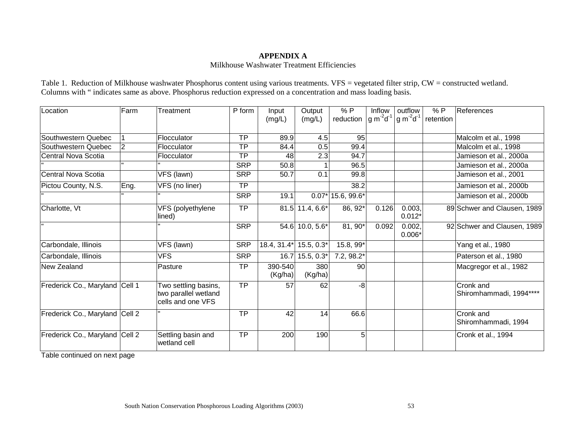## **APPENDIX A**  Milkhouse Washwater Treatment Efficiencies

|                                                                                                                  | Table 1. Reduction of Milkhouse washwater Phosphorus content using various treatments. $VFS =$ vegetated filter strip, $CW =$ constructed wetland. |
|------------------------------------------------------------------------------------------------------------------|----------------------------------------------------------------------------------------------------------------------------------------------------|
| Columns with "indicates same as above. Phosphorus reduction expressed on a concentration and mass loading basis. |                                                                                                                                                    |

| Location                       | Farm | Treatment                                                         | P form     | Input<br>(mg/L)    | Output<br>(mg/L)  | %P<br>reduction     | Inflow<br>$ g m^2 d^1$ | outflow<br>$^{\mathsf{I}}$ g m $^{\mathsf{I}}$ d $^{\mathsf{I}}$ | % P<br>retention | References                                  |
|--------------------------------|------|-------------------------------------------------------------------|------------|--------------------|-------------------|---------------------|------------------------|------------------------------------------------------------------|------------------|---------------------------------------------|
| Southwestern Quebec            |      | Flocculator                                                       | <b>TP</b>  | 89.9               | 4.5               | 95                  |                        |                                                                  |                  | Malcolm et al., 1998                        |
| Southwestern Quebec            | 2    | Flocculator                                                       | <b>TP</b>  | 84.4               | 0.5               | 99.4                |                        |                                                                  |                  | Malcolm et al., 1998                        |
| Central Nova Scotia            |      | Flocculator                                                       | <b>TP</b>  | 48                 | 2.3               | 94.7                |                        |                                                                  |                  | Jamieson et al., 2000a                      |
|                                |      |                                                                   | <b>SRP</b> | 50.8               |                   | 96.5                |                        |                                                                  |                  | Jamieson et al., 2000a                      |
| Central Nova Scotia            |      | VFS (lawn)                                                        | <b>SRP</b> | 50.7               | 0.1               | 99.8                |                        |                                                                  |                  | Jamieson et al., 2001                       |
| Pictou County, N.S.            | Eng. | VFS (no liner)                                                    | <b>TP</b>  |                    |                   | 38.2                |                        |                                                                  |                  | Jamieson et al., 2000b                      |
|                                |      |                                                                   | <b>SRP</b> | 19.1               |                   | $0.07*$ 15.6, 99.6* |                        |                                                                  |                  | Jamieson et al., 2000b                      |
| Charlotte, Vt                  |      | VFS (polyethylene<br>lined)                                       | TP         |                    | $81.5$ 11.4, 6.6* | 86, 92*             | 0.126                  | 0.003,<br>$0.012*$                                               |                  | 89 Schwer and Clausen, 1989                 |
|                                |      |                                                                   | <b>SRP</b> |                    | 54.6 10.0, 5.6*   | 81, 90*             | 0.092                  | 0.002,<br>$0.006*$                                               |                  | 92 Schwer and Clausen, 1989                 |
| Carbondale, Illinois           |      | VFS (lawn)                                                        | <b>SRP</b> | 18.4, 31.4*        | $15.5, 0.3*$      | 15.8, 99*           |                        |                                                                  |                  | Yang et al., 1980                           |
| Carbondale, Illinois           |      | <b>VFS</b>                                                        | <b>SRP</b> | 16.7               | $15.5, 0.3*$      | $7.2, 98.2*$        |                        |                                                                  |                  | Paterson et al., 1980                       |
| New Zealand                    |      | Pasture                                                           | <b>TP</b>  | 390-540<br>(Kg/ha) | 380<br>(Kg/ha)    | 90                  |                        |                                                                  |                  | Macgregor et al., 1982                      |
| Frederick Co., Maryland Cell 1 |      | Two settling basins,<br>two parallel wetland<br>cells and one VFS | <b>TP</b>  | 57                 | 62                | $-8$                |                        |                                                                  |                  | <b>Cronk</b> and<br>Shiromhammadi, 1994**** |
| Frederick Co., Maryland Cell 2 |      |                                                                   | <b>TP</b>  | 42                 | 14                | 66.6                |                        |                                                                  |                  | Cronk and<br>Shiromhammadi, 1994            |
| Frederick Co., Maryland Cell 2 |      | Settling basin and<br>wetland cell                                | <b>TP</b>  | 200                | 190               | 5 <sub>l</sub>      |                        |                                                                  |                  | Cronk et al., 1994                          |

Table continued on next page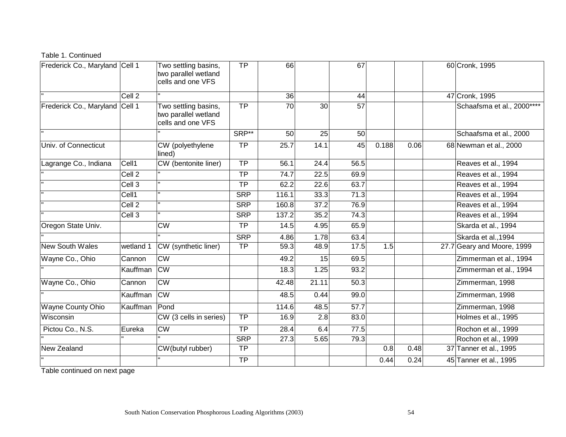## Table 1. Continued

| Frederick Co., Maryland Cell 1 |                   | Two settling basins,<br>two parallel wetland<br>cells and one VFS | TP              | 66                |       | 67              |       |      | 60 Cronk, 1995             |
|--------------------------------|-------------------|-------------------------------------------------------------------|-----------------|-------------------|-------|-----------------|-------|------|----------------------------|
|                                | Cell <sub>2</sub> |                                                                   |                 | 36                |       | 44              |       |      | 47 Cronk, 1995             |
| Frederick Co., Maryland Cell 1 |                   | Two settling basins,<br>two parallel wetland<br>cells and one VFS | <b>TP</b>       | 70                | 30    | 57              |       |      | Schaafsma et al., 2000**** |
|                                |                   |                                                                   | SRP**           | 50                | 25    | 50              |       |      | Schaafsma et al., 2000     |
| Univ. of Connecticut           |                   | CW (polyethylene<br>lined)                                        | $\overline{TP}$ | 25.7              | 14.1  | $\overline{45}$ | 0.188 | 0.06 | 68 Newman et al., 2000     |
| Lagrange Co., Indiana          | Cell1             | CW (bentonite liner)                                              | <b>TP</b>       | 56.1              | 24.4  | 56.5            |       |      | Reaves et al., 1994        |
|                                | Cell <sub>2</sub> |                                                                   | <b>TP</b>       | 74.7              | 22.5  | 69.9            |       |      | Reaves et al., 1994        |
|                                | Cell <sub>3</sub> |                                                                   | <b>TP</b>       | 62.2              | 22.6  | 63.7            |       |      | Reaves et al., 1994        |
|                                | Cell1             |                                                                   | <b>SRP</b>      | 116.1             | 33.3  | 71.3            |       |      | Reaves et al., 1994        |
|                                | Cell <sub>2</sub> |                                                                   | <b>SRP</b>      | 160.8             | 37.2  | 76.9            |       |      | Reaves et al., 1994        |
|                                | Cell <sub>3</sub> |                                                                   | <b>SRP</b>      | 137.2             | 35.2  | 74.3            |       |      | Reaves et al., 1994        |
| Oregon State Univ.             |                   | <b>CW</b>                                                         | TP              | 14.5              | 4.95  | 65.9            |       |      | Skarda et al., 1994        |
|                                |                   |                                                                   | <b>SRP</b>      | 4.86              | 1.78  | 63.4            |       |      | Skarda et al., 1994        |
| <b>New South Wales</b>         | wetland 1         | CW (synthetic liner)                                              | $\overline{TP}$ | 59.3              | 48.9  | 17.5            | 1.5   |      | 27.7 Geary and Moore, 1999 |
| Wayne Co., Ohio                | Cannon            | <b>CW</b>                                                         |                 | 49.2              | 15    | 69.5            |       |      | Zimmerman et al., 1994     |
|                                | Kauffman          | <b>CW</b>                                                         |                 | 18.3              | 1.25  | 93.2            |       |      | Zimmerman et al., 1994     |
| Wayne Co., Ohio                | Cannon            | <b>CW</b>                                                         |                 | 42.48             | 21.11 | 50.3            |       |      | Zimmerman, 1998            |
|                                | Kauffman          | <b>CW</b>                                                         |                 | 48.5              | 0.44  | 99.0            |       |      | Zimmerman, 1998            |
| Wayne County Ohio              | Kauffman          | Pond                                                              |                 | 114.6             | 48.5  | 57.7            |       |      | Zimmerman, 1998            |
| Wisconsin                      |                   | CW (3 cells in series)                                            | $\overline{TP}$ | $\overline{16.9}$ | 2.8   | 83.0            |       |      | Holmes et al., 1995        |
| Pictou Co., N.S.               | Eureka            | <b>CW</b>                                                         | $\overline{TP}$ | 28.4              | 6.4   | 77.5            |       |      | Rochon et al., 1999        |
|                                |                   |                                                                   | <b>SRP</b>      | 27.3              | 5.65  | 79.3            |       |      | Rochon et al., 1999        |
| New Zealand                    |                   | CW(butyl rubber)                                                  | TP              |                   |       |                 | 0.8   | 0.48 | 37 Tanner et al., 1995     |
|                                |                   |                                                                   | <b>TP</b>       |                   |       |                 | 0.44  | 0.24 | 45 Tanner et al., 1995     |

Table continued on next page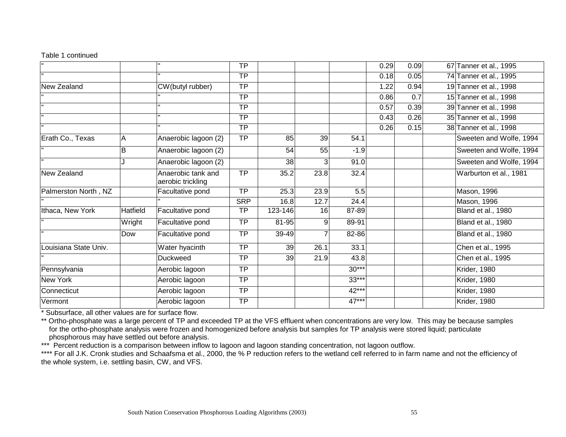## Table 1 continued

|                       |          |                                         | <b>TP</b>       |         |      |         | 0.29 | 0.09 | 67 Tanner et al., 1995  |
|-----------------------|----------|-----------------------------------------|-----------------|---------|------|---------|------|------|-------------------------|
|                       |          |                                         | <b>TP</b>       |         |      |         | 0.18 | 0.05 | 74 Tanner et al., 1995  |
| New Zealand           |          | CW(butyl rubber)                        | <b>TP</b>       |         |      |         | 1.22 | 0.94 | 19 Tanner et al., 1998  |
|                       |          |                                         | $\overline{TP}$ |         |      |         | 0.86 | 0.7  | 15 Tanner et al., 1998  |
|                       |          |                                         | <b>TP</b>       |         |      |         | 0.57 | 0.39 | 39 Tanner et al., 1998  |
|                       |          |                                         | <b>TP</b>       |         |      |         | 0.43 | 0.26 | 35 Tanner et al., 1998  |
|                       |          |                                         | <b>TP</b>       |         |      |         | 0.26 | 0.15 | 38 Tanner et al., 1998  |
| Erath Co., Texas      | Α        | Anaerobic lagoon (2)                    | <b>TP</b>       | 85      | 39   | 54.1    |      |      | Sweeten and Wolfe, 1994 |
|                       | B        | Anaerobic lagoon (2)                    |                 | 54      | 55   | $-1.9$  |      |      | Sweeten and Wolfe, 1994 |
|                       |          | Anaerobic lagoon (2)                    |                 | 38      | 3    | 91.0    |      |      | Sweeten and Wolfe, 1994 |
| New Zealand           |          | Anaerobic tank and<br>aerobic trickling | <b>TP</b>       | 35.2    | 23.8 | 32.4    |      |      | Warburton et al., 1981  |
| Palmerston North, NZ  |          | Facultative pond                        | <b>TP</b>       | 25.3    | 23.9 | 5.5     |      |      | Mason, 1996             |
|                       |          |                                         | <b>SRP</b>      | 16.8    | 12.7 | 24.4    |      |      | Mason, 1996             |
| Ithaca, New York      | Hatfield | Facultative pond                        | TP              | 123-146 | 16   | 87-89   |      |      | Bland et al., 1980      |
|                       | Wright   | Facultative pond                        | <b>TP</b>       | 81-95   | 9    | 89-91   |      |      | Bland et al., 1980      |
| $\mathbf{u}$          | Dow      | Facultative pond                        | TP              | 39-49   |      | 82-86   |      |      | Bland et al., 1980      |
| Louisiana State Univ. |          | Water hyacinth                          | <b>TP</b>       | 39      | 26.1 | 33.1    |      |      | Chen et al., 1995       |
|                       |          | <b>Duckweed</b>                         | <b>TP</b>       | 39      | 21.9 | 43.8    |      |      | Chen et al., 1995       |
| Pennsylvania          |          | Aerobic lagoon                          | <b>TP</b>       |         |      | $30***$ |      |      | <b>Krider, 1980</b>     |
| New York              |          | Aerobic lagoon                          | <b>TP</b>       |         |      | $33***$ |      |      | <b>Krider, 1980</b>     |
| Connecticut           |          | Aerobic lagoon                          | <b>TP</b>       |         |      | 42***   |      |      | Krider, 1980            |
| Vermont               |          | Aerobic lagoon                          | <b>TP</b>       |         |      | 47***   |      |      | <b>Krider, 1980</b>     |

\* Subsurface, all other values are for surface flow.

\*\* Ortho-phosphate was a large percent of TP and exceeded TP at the VFS effluent when concentrations are very low. This may be because samples for the ortho-phosphate analysis were frozen and homogenized before analysis but samples for TP analysis were stored liquid; particulate phosphorous may have settled out before analysis.

\*\*\* Percent reduction is a comparison between inflow to lagoon and lagoon standing concentration, not lagoon outflow.

\*\*\*\* For all J.K. Cronk studies and Schaafsma et al., 2000, the % P reduction refers to the wetland cell referred to in farm name and not the efficiency of the whole system, i.e. settling basin, CW, and VFS.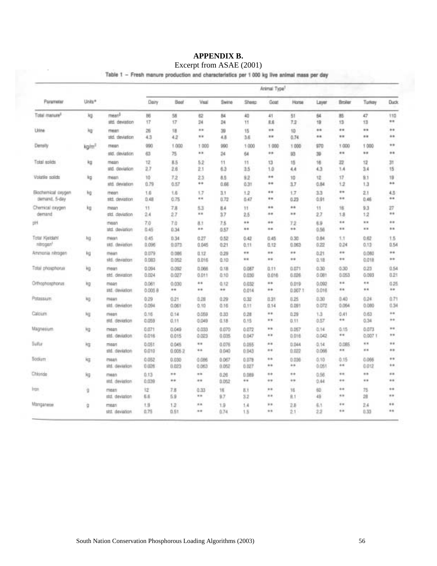## **APPENDIX B.**  Excerpt from ASAE (2001)

Table 1 - Fresh manure production and characteristics per 1 000 kg live animal mass per day

|                                        |                   |                                     |                  | Animal Type <sup>1</sup> |                  |                  |                |                        |                  |                |                   |                 |                     |  |  |
|----------------------------------------|-------------------|-------------------------------------|------------------|--------------------------|------------------|------------------|----------------|------------------------|------------------|----------------|-------------------|-----------------|---------------------|--|--|
| Parameter                              | Units*            |                                     | Dairy            | Boot                     | Visal            | Swine            | Sheep          | Goat                   | Horse            | Layer          | Broller           | Turkey          | <b>Duck</b>         |  |  |
| Total manure <sup>s</sup>              | kg                | mean <sup>b</sup><br>std. deviation | B6<br>17         | 蛄<br>17                  | 控<br>34          | 84<br>24         | 40<br>11       | 41<br>日后               | 51<br>7.2        | 64<br>19       | 赿<br>13           | 47<br>13        | 110<br>$\cdots$     |  |  |
| Unne                                   | kg                | mean<br>std. deviation              | 冨<br>4.3         | 缰<br>4.2                 | 48<br>           | 39<br>4.8        | 15<br>3.6      | **<br>                 | 10<br>0.74       | **<br>**       | $^{4+}$<br>**     | <br>**          | $^{**}$<br>**       |  |  |
| Density                                | kg/m <sup>3</sup> | mean<br>std. deviation              | 990<br>63        | 1.000<br>75              | 1 000<br>        | 990<br>24        | 1000<br>64     | 1 0 0 0<br>**          | 1 000<br>93      | 970<br>39      | 1 000<br>**       | 1 000<br>**     | **<br>**            |  |  |
| Total solids                           | 梅                 | mean<br>std. deviation              | 12<br>27         | 8.5<br>2.6               | 52<br>21         | 11<br>63         | 11<br>3.5      | 13<br>1.0              | 15<br>4.4        | 16<br>4.3      | 22<br>1.4         | 12<br>3.4       | 31<br>15            |  |  |
| Volatile solids                        | kg                | mean<br>std. deviation              | 10<br>0.79       | 7.2<br>弘記                | 23<br>$^{***}$   | 0.5<br>0.66      | 9.2<br>0.31    | **<br>$^{++}$          | 10<br>37         | 12<br>0.84     | 17<br>1.2         | 9.1<br>1.3      | 19<br>$^{**}$       |  |  |
| Blochemical coygen<br>demand, 5-day    | kg-               | 11081<br>std. deviation             | 1.6<br>0.48      | 1.6<br>0.75              | 1.7<br>**        | 33<br>0.72       | 1.2<br>0.47    | **<br>**               | 17<br>0.23       | 33<br>0.91     | $^{+}$<br>$^{**}$ | 2.1<br>0.46     | 4.5<br>             |  |  |
| Chemical coygen<br>demand              | kg                | mean<br>atd. deviation              | 11<br>24         | 7.8<br>2.7               | 53<br>           | 8.4<br>3.7       | 11<br>25       | **<br>$^{**}$          | **<br>$\cdots$   | 11<br>2.7      | 诘<br>18           | 9.3<br>12       | 27<br>$+ +$         |  |  |
| pН                                     |                   | mean<br>std. deviation              | 7.0<br>0.45      | 7.0<br>0.34              | 83<br>$^{**}$    | 7.5<br>0.57      | <br>$^{**}$    | **<br>**               | 72<br>$\cdots$   | 6.9<br>0.56    | 66<br>**          | <br>            | **<br>$\frac{1}{2}$ |  |  |
| Total Kieldahl<br>ntrogen <sup>3</sup> | kg                | mean.<br>std. deviation             | 0.45<br>0.096    | 0.34<br>0.072            | 0.27<br>0.045    | 0.52<br>0.21     | 0.42<br>0.11   | 0.45<br>0.12           | 0.30<br>0.063    | 0.84<br>0.22   | 1.1<br>0.24       | 0.62<br>0.13    | 1.5<br>0.54         |  |  |
| Ammonia nimoan                         | 短                 | mean<br>std. deviation              | 0.079<br>0.083   | 0.006<br>0.052           | 0.12<br>0.015    | 0.29<br>0.10     | e a<br>**      | **<br>**               | $^{**}$<br>88    | 0.21<br>0.18   | $^{**}$<br>÷÷     | 0.060<br>0.018  | $^{**}$<br>$\cdots$ |  |  |
| Total phosphorus                       | kig               | mean<br>std. deviation              | 0.094<br>0.024   | 0.092<br>0.027           | 0.066<br>0.011   | 0.18<br>0.10     | 0.087<br>0.030 | 0.11<br>840.0          | 0.075<br>0.026   | 0.30<br>0.081  | 0.30<br>0.053     | 0.23<br>0.069   | 0.54<br>0.21        |  |  |
| Orthophosphorus                        | kg                | mean<br>and. deviation.             | 0.061<br>0.005.0 | 0.030<br>$^{**}$         | 88<br>           | 0.12<br>$\cdots$ | 0.032<br>0.014 | $\cdots$<br>**         | 0.019<br>0.007.1 | 0.092<br>0.016 | 4.4<br>$\cdots$   | **<br>**        | 0.25<br>4.8         |  |  |
| Potassium                              | 短                 | mean<br>(itd. deviation)            | 0.29<br>0.094    | 0.21<br>0.061            | 0.28<br>0.10     | 0.29<br>0.16     | 0.32<br>0.11   | 0.31<br>0.14           | 0.25<br>0.093    | 0.30<br>0.072  | 0.40<br>0.064     | 0.24<br>0.060   | 0.71<br>0.34        |  |  |
| Calcium                                | kg                | mean<br>and. deviation              | 0.16<br>0.059    | 0.14<br>0.11             | 0.059<br>0.049   | 0.33<br>0.18     | 0.28<br>0.15   | **<br>**               | 0.29<br>0.11     | 13<br>0.57     | 0.41<br>          | 0.63<br>0.34    | $^{**}$<br>$^{**}$  |  |  |
| Magnesium                              | kg                | mean<br>std. deviation              | 0.071<br>0.016   | 0.049<br>0.015           | 0.033<br>0.023   | 0.070<br>0.035   | 0.072<br>0.047 | 88<br>$\frac{1}{2}$    | 0.057<br>0.016   | 0.14<br>0.042  | 0.15<br>44        | 0.073<br>0.0071 | <br>tr a            |  |  |
| Sulfur                                 | kg                | mean<br>std. deviation              | 0.051<br>0.010   | 0.045<br>0.0062          | **<br>**         | 0.076<br>0.040   | 0.055<br>0.043 | $\pm$<br>**            | 0.044<br>0.022   | 0.14<br>0.066  | 0.085<br>48       | 68<br>**        | **<br>**            |  |  |
| 500ium                                 | kg                | mean<br>std. deviation              | 0.052<br>0.026   | 0.030<br>0.023           | 0.086<br>0.063   | 0.067<br>0.052   | 0.078<br>0.027 | $+ +$<br>**            | 0.036<br>$\pm$   | 0.10<br>0.051  | 0.15<br>$^{+6}$   | 0.066<br>0.012  | **<br>**            |  |  |
| Chloride                               | Хg                | (79881)<br>atd. deviation           | 0.13<br>0.039    | $***$<br>$\cdots$        | $***$<br>88      | 0.26<br>0.052    | 0.089<br>111   | **<br>$+ +$            | $***$<br>$+ +$   | 0.56<br>0.44   | $+ +$<br>4.4      | **<br>$\cdots$  | <br>$+1$            |  |  |
| trge                                   | 9                 | mean<br>std. deviation              | tż<br>哲症         | 7.8<br>5.9               | 0.33<br><b>W</b> | 16<br>9.7        | EX<br>3.2      | $\frac{1}{2}$<br>$8 +$ | 16<br>且1         | 60<br>49       | $^{**}$<br>48     | 75<br>28        | $^{**}$<br>**       |  |  |
| Mangarese                              | ū                 | mean<br>std. deviation              | 1.9<br>0.75      | 1.2<br>0.51              | 68<br>88         | 1.9<br>0.74      | 1.4<br>1.5     | **<br>$\cdots$         | 2.8<br>2.1       | 五生<br>22       | $4 +$<br>4.8      | 2.4<br>0.33     | **<br>**            |  |  |